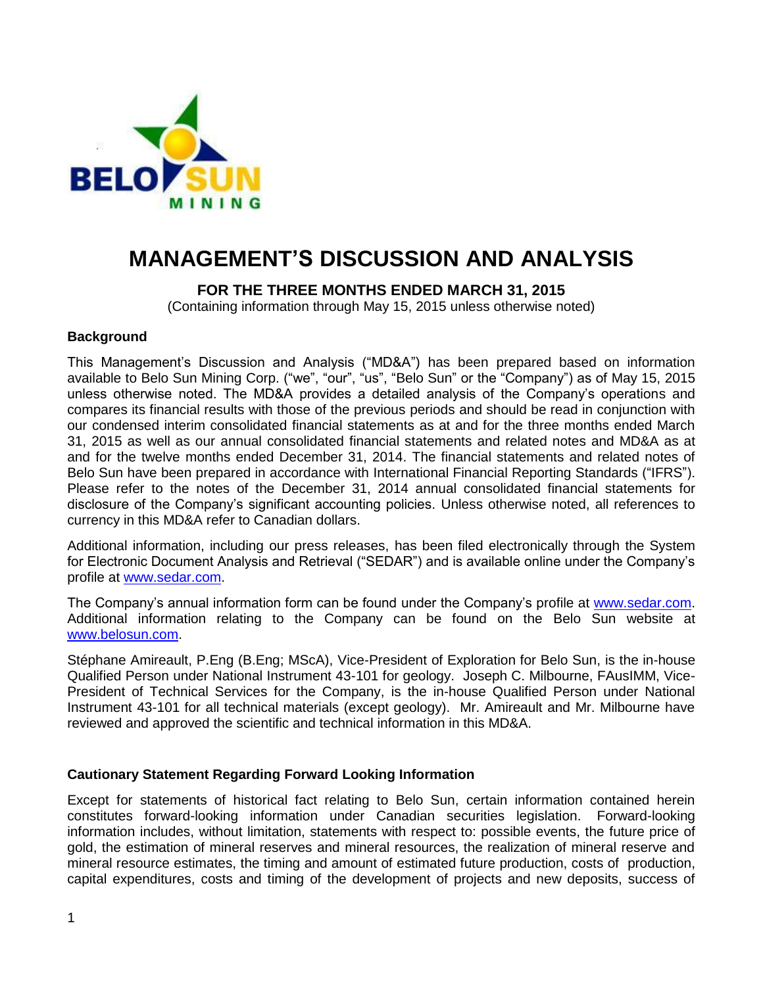

# **MANAGEMENT'S DISCUSSION AND ANALYSIS**

## **FOR THE THREE MONTHS ENDED MARCH 31, 2015**

(Containing information through May 15, 2015 unless otherwise noted)

#### **Background**

This Management's Discussion and Analysis ("MD&A") has been prepared based on information available to Belo Sun Mining Corp. ("we", "our", "us", "Belo Sun" or the "Company") as of May 15, 2015 unless otherwise noted. The MD&A provides a detailed analysis of the Company's operations and compares its financial results with those of the previous periods and should be read in conjunction with our condensed interim consolidated financial statements as at and for the three months ended March 31, 2015 as well as our annual consolidated financial statements and related notes and MD&A as at and for the twelve months ended December 31, 2014. The financial statements and related notes of Belo Sun have been prepared in accordance with International Financial Reporting Standards ("IFRS"). Please refer to the notes of the December 31, 2014 annual consolidated financial statements for disclosure of the Company's significant accounting policies. Unless otherwise noted, all references to currency in this MD&A refer to Canadian dollars.

Additional information, including our press releases, has been filed electronically through the System for Electronic Document Analysis and Retrieval ("SEDAR") and is available online under the Company's profile at [www.sedar.com.](http://www.sedar.com/)

The Company's annual information form can be found under the Company's profile at [www.sedar.com.](http://www.sedar.com/) Additional information relating to the Company can be found on the Belo Sun website at [www.belosun.com.](http://www.belosun.com/)

Stéphane Amireault, P.Eng (B.Eng; MScA), Vice-President of Exploration for Belo Sun, is the in-house Qualified Person under National Instrument 43-101 for geology. Joseph C. Milbourne, FAusIMM, Vice-President of Technical Services for the Company, is the in-house Qualified Person under National Instrument 43-101 for all technical materials (except geology). Mr. Amireault and Mr. Milbourne have reviewed and approved the scientific and technical information in this MD&A.

## **Cautionary Statement Regarding Forward Looking Information**

Except for statements of historical fact relating to Belo Sun, certain information contained herein constitutes forward-looking information under Canadian securities legislation. Forward-looking information includes, without limitation, statements with respect to: possible events, the future price of gold, the estimation of mineral reserves and mineral resources, the realization of mineral reserve and mineral resource estimates, the timing and amount of estimated future production, costs of production, capital expenditures, costs and timing of the development of projects and new deposits, success of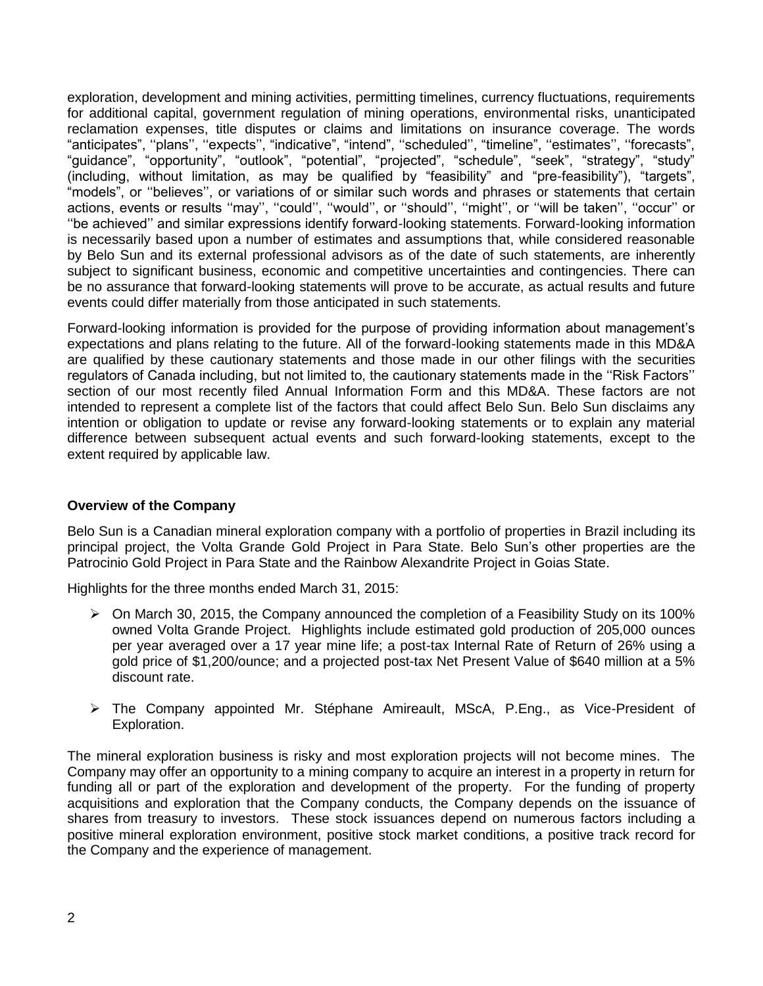exploration, development and mining activities, permitting timelines, currency fluctuations, requirements for additional capital, government regulation of mining operations, environmental risks, unanticipated reclamation expenses, title disputes or claims and limitations on insurance coverage. The words "anticipates", ''plans'', ''expects'', "indicative", "intend", ''scheduled'', "timeline", ''estimates'', ''forecasts", "guidance", "opportunity", "outlook", "potential", "projected", "schedule", "seek", "strategy", "study" (including, without limitation, as may be qualified by "feasibility" and "pre-feasibility"), "targets", "models", or ''believes'', or variations of or similar such words and phrases or statements that certain actions, events or results "may", "could", "would", or "should", "might", or "will be taken", "occur" or ''be achieved'' and similar expressions identify forward-looking statements. Forward-looking information is necessarily based upon a number of estimates and assumptions that, while considered reasonable by Belo Sun and its external professional advisors as of the date of such statements, are inherently subject to significant business, economic and competitive uncertainties and contingencies. There can be no assurance that forward-looking statements will prove to be accurate, as actual results and future events could differ materially from those anticipated in such statements.

Forward-looking information is provided for the purpose of providing information about management's expectations and plans relating to the future. All of the forward-looking statements made in this MD&A are qualified by these cautionary statements and those made in our other filings with the securities regulators of Canada including, but not limited to, the cautionary statements made in the ''Risk Factors'' section of our most recently filed Annual Information Form and this MD&A. These factors are not intended to represent a complete list of the factors that could affect Belo Sun. Belo Sun disclaims any intention or obligation to update or revise any forward-looking statements or to explain any material difference between subsequent actual events and such forward-looking statements, except to the extent required by applicable law.

## **Overview of the Company**

Belo Sun is a Canadian mineral exploration company with a portfolio of properties in Brazil including its principal project, the Volta Grande Gold Project in Para State. Belo Sun's other properties are the Patrocinio Gold Project in Para State and the Rainbow Alexandrite Project in Goias State.

Highlights for the three months ended March 31, 2015:

- $\triangleright$  On March 30, 2015, the Company announced the completion of a Feasibility Study on its 100% owned Volta Grande Project. Highlights include estimated gold production of 205,000 ounces per year averaged over a 17 year mine life; a post-tax Internal Rate of Return of 26% using a gold price of \$1,200/ounce; and a projected post-tax Net Present Value of \$640 million at a 5% discount rate.
- The Company appointed Mr. Stéphane Amireault, MScA, P.Eng., as Vice-President of Exploration.

The mineral exploration business is risky and most exploration projects will not become mines. The Company may offer an opportunity to a mining company to acquire an interest in a property in return for funding all or part of the exploration and development of the property. For the funding of property acquisitions and exploration that the Company conducts, the Company depends on the issuance of shares from treasury to investors. These stock issuances depend on numerous factors including a positive mineral exploration environment, positive stock market conditions, a positive track record for the Company and the experience of management.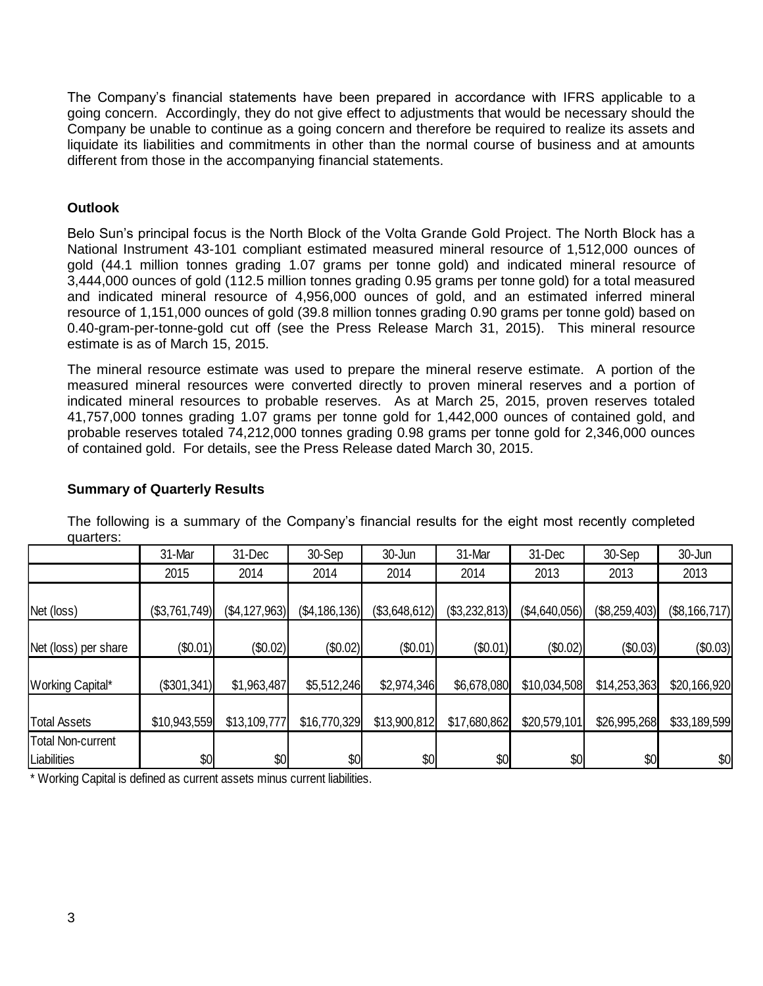The Company's financial statements have been prepared in accordance with IFRS applicable to a going concern. Accordingly, they do not give effect to adjustments that would be necessary should the Company be unable to continue as a going concern and therefore be required to realize its assets and liquidate its liabilities and commitments in other than the normal course of business and at amounts different from those in the accompanying financial statements.

## **Outlook**

Belo Sun's principal focus is the North Block of the Volta Grande Gold Project. The North Block has a National Instrument 43-101 compliant estimated measured mineral resource of 1,512,000 ounces of gold (44.1 million tonnes grading 1.07 grams per tonne gold) and indicated mineral resource of 3,444,000 ounces of gold (112.5 million tonnes grading 0.95 grams per tonne gold) for a total measured and indicated mineral resource of 4,956,000 ounces of gold, and an estimated inferred mineral resource of 1,151,000 ounces of gold (39.8 million tonnes grading 0.90 grams per tonne gold) based on 0.40-gram-per-tonne-gold cut off (see the Press Release March 31, 2015). This mineral resource estimate is as of March 15, 2015.

The mineral resource estimate was used to prepare the mineral reserve estimate. A portion of the measured mineral resources were converted directly to proven mineral reserves and a portion of indicated mineral resources to probable reserves. As at March 25, 2015, proven reserves totaled 41,757,000 tonnes grading 1.07 grams per tonne gold for 1,442,000 ounces of contained gold, and probable reserves totaled 74,212,000 tonnes grading 0.98 grams per tonne gold for 2,346,000 ounces of contained gold. For details, see the Press Release dated March 30, 2015.

#### **Summary of Quarterly Results**

The following is a summary of the Company's financial results for the eight most recently completed quarters:

|                                         | 31-Mar        | 31-Dec        | 30-Sep        | 30-Jun        | 31-Mar        | 31-Dec        | 30-Sep        | 30-Jun        |
|-----------------------------------------|---------------|---------------|---------------|---------------|---------------|---------------|---------------|---------------|
|                                         | 2015          | 2014          | 2014          | 2014          | 2014          | 2013          | 2013          | 2013          |
| Net (loss)                              | (\$3,761,749) | (\$4,127,963) | (\$4,186,136) | (\$3,648,612) | (\$3,232,813) | (\$4,640,056) | (\$8,259,403) | (\$8,166,717) |
| Net (loss) per share                    | (\$0.01)      | (\$0.02)      | (\$0.02)      | (\$0.01)      | (\$0.01)      | (\$0.02)      | (\$0.03)      | (\$0.03)      |
| Working Capital*                        | (\$301,341)   | \$1,963,487   | \$5,512,246   | \$2,974,346   | \$6,678,080   | \$10,034,508  | \$14,253,363  | \$20,166,920  |
| <b>Total Assets</b>                     | \$10,943,559  | \$13,109,777  | \$16,770,329  | \$13,900,812  | \$17,680,862  | \$20,579,101  | \$26,995,268  | \$33,189,599  |
| <b>Total Non-current</b><br>Liabilities | \$0           | \$0           | \$0           | \$0           | \$0           | \$0           | \$0           | \$0           |

\* Working Capital is defined as current assets minus current liabilities.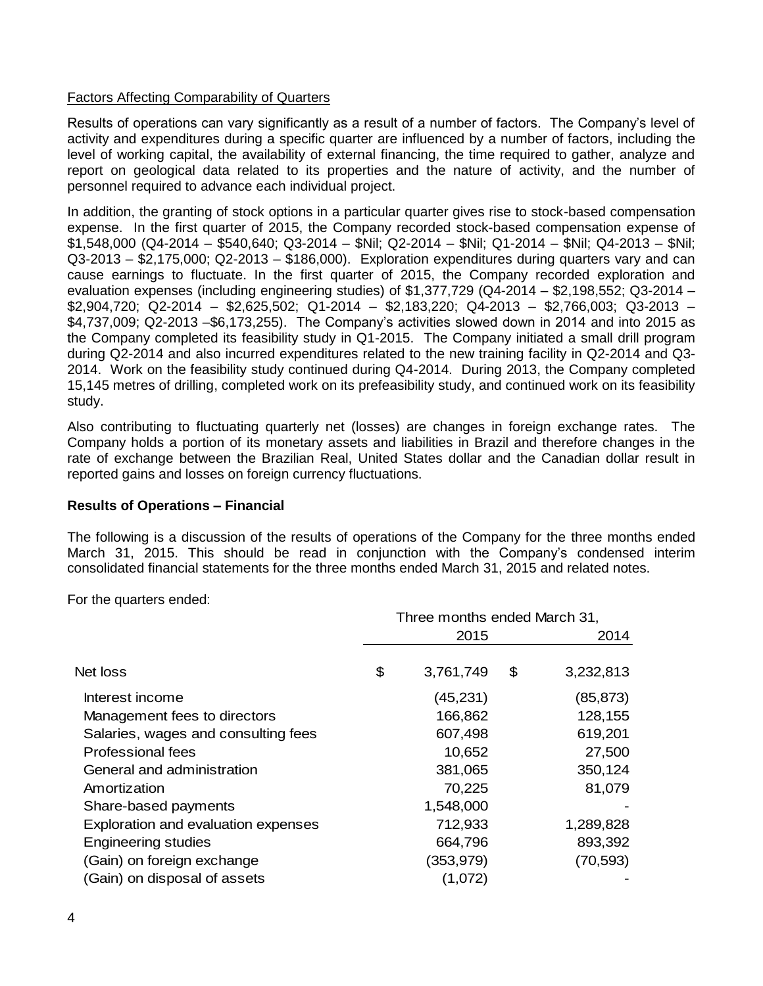#### Factors Affecting Comparability of Quarters

Results of operations can vary significantly as a result of a number of factors. The Company's level of activity and expenditures during a specific quarter are influenced by a number of factors, including the level of working capital, the availability of external financing, the time required to gather, analyze and report on geological data related to its properties and the nature of activity, and the number of personnel required to advance each individual project.

In addition, the granting of stock options in a particular quarter gives rise to stock-based compensation expense. In the first quarter of 2015, the Company recorded stock-based compensation expense of \$1,548,000 (Q4-2014 – \$540,640; Q3-2014 – \$Nil; Q2-2014 – \$Nil; Q1-2014 – \$Nil; Q4-2013 – \$Nil; Q3-2013 – \$2,175,000; Q2-2013 – \$186,000). Exploration expenditures during quarters vary and can cause earnings to fluctuate. In the first quarter of 2015, the Company recorded exploration and evaluation expenses (including engineering studies) of \$1,377,729 (Q4-2014 – \$2,198,552; Q3-2014 – \$2,904,720; Q2-2014 – \$2,625,502; Q1-2014 – \$2,183,220; Q4-2013 – \$2,766,003; Q3-2013 – \$4,737,009; Q2-2013 –\$6,173,255). The Company's activities slowed down in 2014 and into 2015 as the Company completed its feasibility study in Q1-2015. The Company initiated a small drill program during Q2-2014 and also incurred expenditures related to the new training facility in Q2-2014 and Q3- 2014. Work on the feasibility study continued during Q4-2014. During 2013, the Company completed 15,145 metres of drilling, completed work on its prefeasibility study, and continued work on its feasibility study.

Also contributing to fluctuating quarterly net (losses) are changes in foreign exchange rates. The Company holds a portion of its monetary assets and liabilities in Brazil and therefore changes in the rate of exchange between the Brazilian Real, United States dollar and the Canadian dollar result in reported gains and losses on foreign currency fluctuations.

#### **Results of Operations – Financial**

The following is a discussion of the results of operations of the Company for the three months ended March 31, 2015. This should be read in conjunction with the Company's condensed interim consolidated financial statements for the three months ended March 31, 2015 and related notes.

For the quarters ended:

|                                     | Three months ended March 31, |            |    |           |
|-------------------------------------|------------------------------|------------|----|-----------|
|                                     |                              | 2015       |    | 2014      |
|                                     |                              |            |    |           |
| Net loss                            | \$                           | 3,761,749  | \$ | 3,232,813 |
| Interest income                     |                              | (45, 231)  |    | (85, 873) |
| Management fees to directors        |                              | 166,862    |    | 128,155   |
| Salaries, wages and consulting fees |                              | 607,498    |    | 619,201   |
| <b>Professional fees</b>            |                              | 10,652     |    | 27,500    |
| General and administration          |                              | 381,065    |    | 350,124   |
| Amortization                        |                              | 70,225     |    | 81,079    |
| Share-based payments                |                              | 1,548,000  |    |           |
| Exploration and evaluation expenses |                              | 712,933    |    | 1,289,828 |
| <b>Engineering studies</b>          |                              | 664,796    |    | 893,392   |
| (Gain) on foreign exchange          |                              | (353, 979) |    | (70, 593) |
| (Gain) on disposal of assets        |                              | (1,072)    |    |           |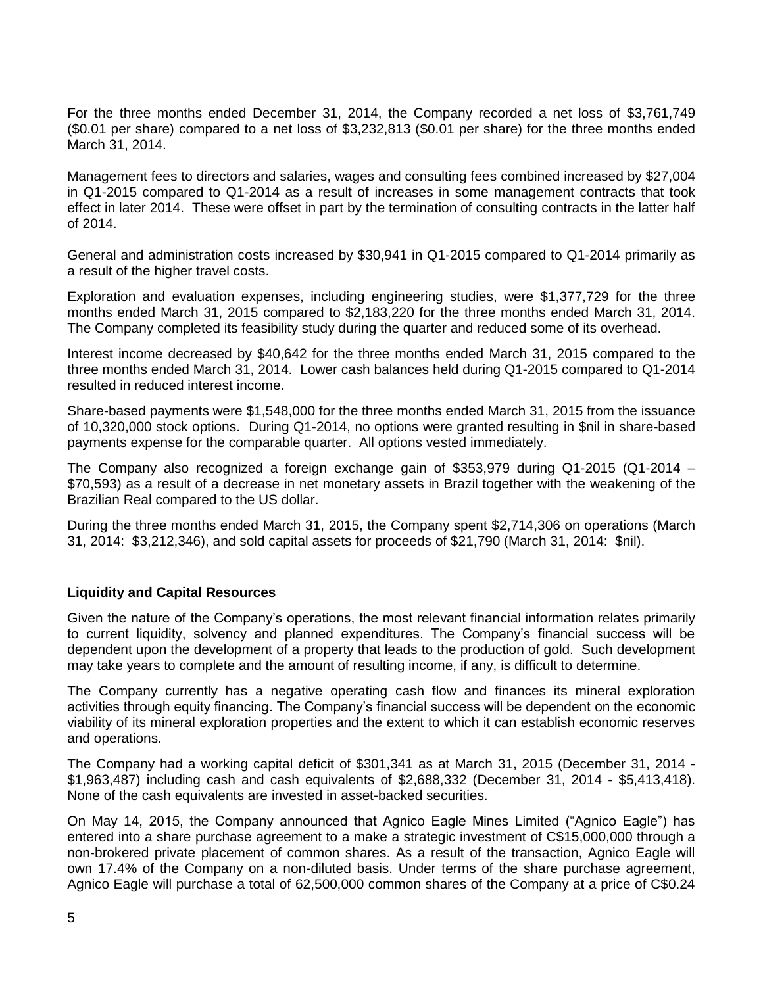For the three months ended December 31, 2014, the Company recorded a net loss of \$3,761,749 (\$0.01 per share) compared to a net loss of \$3,232,813 (\$0.01 per share) for the three months ended March 31, 2014.

Management fees to directors and salaries, wages and consulting fees combined increased by \$27,004 in Q1-2015 compared to Q1-2014 as a result of increases in some management contracts that took effect in later 2014. These were offset in part by the termination of consulting contracts in the latter half of 2014.

General and administration costs increased by \$30,941 in Q1-2015 compared to Q1-2014 primarily as a result of the higher travel costs.

Exploration and evaluation expenses, including engineering studies, were \$1,377,729 for the three months ended March 31, 2015 compared to \$2,183,220 for the three months ended March 31, 2014. The Company completed its feasibility study during the quarter and reduced some of its overhead.

Interest income decreased by \$40,642 for the three months ended March 31, 2015 compared to the three months ended March 31, 2014. Lower cash balances held during Q1-2015 compared to Q1-2014 resulted in reduced interest income.

Share-based payments were \$1,548,000 for the three months ended March 31, 2015 from the issuance of 10,320,000 stock options. During Q1-2014, no options were granted resulting in \$nil in share-based payments expense for the comparable quarter. All options vested immediately.

The Company also recognized a foreign exchange gain of \$353,979 during Q1-2015 (Q1-2014 – \$70,593) as a result of a decrease in net monetary assets in Brazil together with the weakening of the Brazilian Real compared to the US dollar.

During the three months ended March 31, 2015, the Company spent \$2,714,306 on operations (March 31, 2014: \$3,212,346), and sold capital assets for proceeds of \$21,790 (March 31, 2014: \$nil).

## **Liquidity and Capital Resources**

Given the nature of the Company's operations, the most relevant financial information relates primarily to current liquidity, solvency and planned expenditures. The Company's financial success will be dependent upon the development of a property that leads to the production of gold. Such development may take years to complete and the amount of resulting income, if any, is difficult to determine.

The Company currently has a negative operating cash flow and finances its mineral exploration activities through equity financing. The Company's financial success will be dependent on the economic viability of its mineral exploration properties and the extent to which it can establish economic reserves and operations.

The Company had a working capital deficit of \$301,341 as at March 31, 2015 (December 31, 2014 - \$1,963,487) including cash and cash equivalents of \$2,688,332 (December 31, 2014 - \$5,413,418). None of the cash equivalents are invested in asset-backed securities.

On May 14, 2015, the Company announced that Agnico Eagle Mines Limited ("Agnico Eagle") has entered into a share purchase agreement to a make a strategic investment of C\$15,000,000 through a non-brokered private placement of common shares. As a result of the transaction, Agnico Eagle will own 17.4% of the Company on a non-diluted basis. Under terms of the share purchase agreement, Agnico Eagle will purchase a total of 62,500,000 common shares of the Company at a price of C\$0.24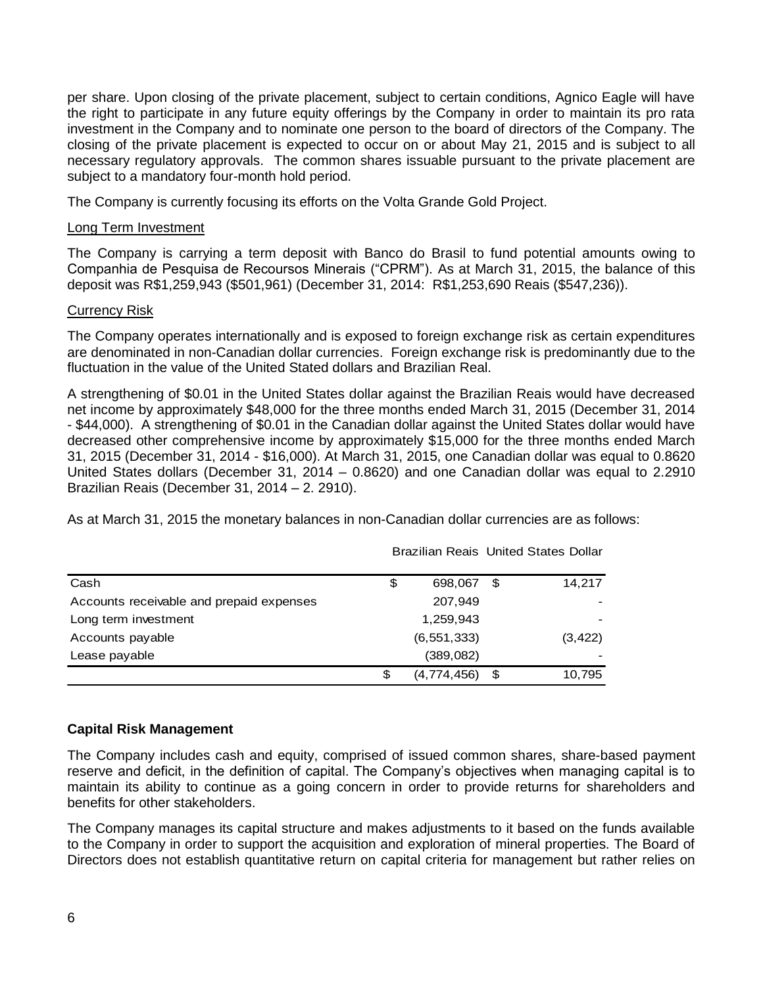per share. Upon closing of the private placement, subject to certain conditions, Agnico Eagle will have the right to participate in any future equity offerings by the Company in order to maintain its pro rata investment in the Company and to nominate one person to the board of directors of the Company. The closing of the private placement is expected to occur on or about May 21, 2015 and is subject to all necessary regulatory approvals. The common shares issuable pursuant to the private placement are subject to a mandatory four-month hold period.

The Company is currently focusing its efforts on the Volta Grande Gold Project.

#### Long Term Investment

The Company is carrying a term deposit with Banco do Brasil to fund potential amounts owing to Companhia de Pesquisa de Recoursos Minerais ("CPRM"). As at March 31, 2015, the balance of this deposit was R\$1,259,943 (\$501,961) (December 31, 2014: R\$1,253,690 Reais (\$547,236)).

#### **Currency Risk**

The Company operates internationally and is exposed to foreign exchange risk as certain expenditures are denominated in non-Canadian dollar currencies. Foreign exchange risk is predominantly due to the fluctuation in the value of the United Stated dollars and Brazilian Real.

A strengthening of \$0.01 in the United States dollar against the Brazilian Reais would have decreased net income by approximately \$48,000 for the three months ended March 31, 2015 (December 31, 2014 - \$44,000). A strengthening of \$0.01 in the Canadian dollar against the United States dollar would have decreased other comprehensive income by approximately \$15,000 for the three months ended March 31, 2015 (December 31, 2014 - \$16,000). At March 31, 2015, one Canadian dollar was equal to 0.8620 United States dollars (December 31, 2014 – 0.8620) and one Canadian dollar was equal to 2.2910 Brazilian Reais (December 31, 2014 – 2. 2910).

As at March 31, 2015 the monetary balances in non-Canadian dollar currencies are as follows:

|                                          |                   |    | <b>Brazilian Reais United States Dollar</b> |
|------------------------------------------|-------------------|----|---------------------------------------------|
| Cash                                     | \$<br>698,067     | \$ | 14,217                                      |
| Accounts receivable and prepaid expenses | 207,949           |    |                                             |
| Long term investment                     | 1,259,943         |    |                                             |
| Accounts payable                         | (6, 551, 333)     |    | (3, 422)                                    |
| Lease payable                            | (389, 082)        |    |                                             |
|                                          | \$<br>(4,774,456) | S  | 10,795                                      |

## **Capital Risk Management**

The Company includes cash and equity, comprised of issued common shares, share-based payment reserve and deficit, in the definition of capital. The Company's objectives when managing capital is to maintain its ability to continue as a going concern in order to provide returns for shareholders and benefits for other stakeholders.

The Company manages its capital structure and makes adjustments to it based on the funds available to the Company in order to support the acquisition and exploration of mineral properties. The Board of Directors does not establish quantitative return on capital criteria for management but rather relies on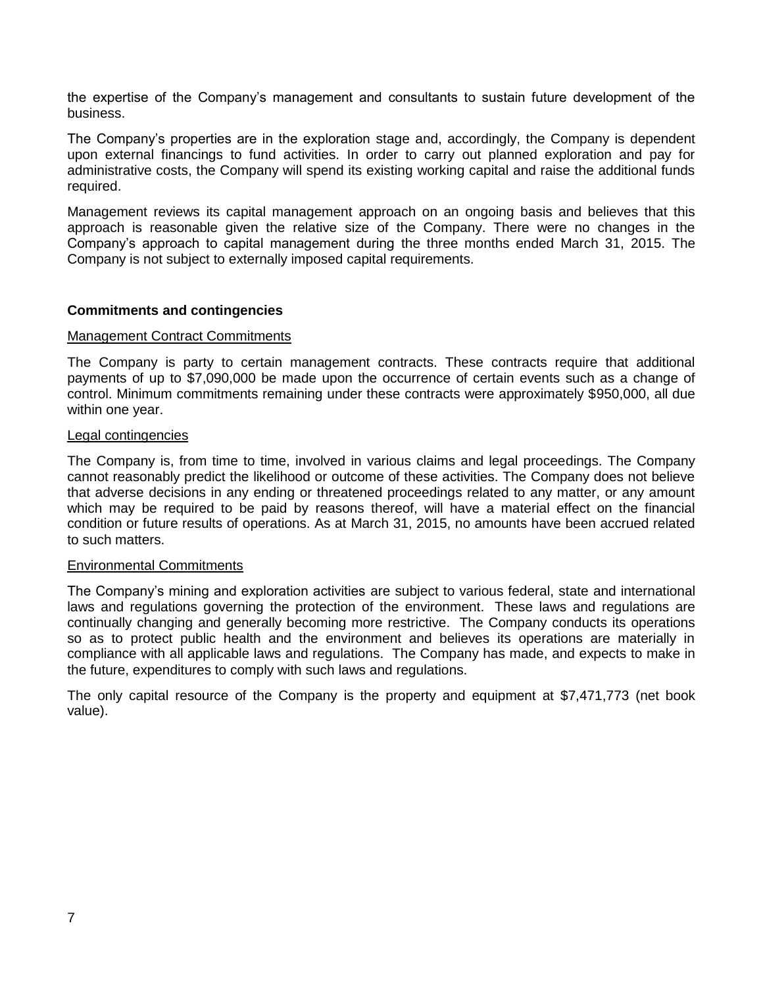the expertise of the Company's management and consultants to sustain future development of the business.

The Company's properties are in the exploration stage and, accordingly, the Company is dependent upon external financings to fund activities. In order to carry out planned exploration and pay for administrative costs, the Company will spend its existing working capital and raise the additional funds required.

Management reviews its capital management approach on an ongoing basis and believes that this approach is reasonable given the relative size of the Company. There were no changes in the Company's approach to capital management during the three months ended March 31, 2015. The Company is not subject to externally imposed capital requirements.

#### **Commitments and contingencies**

#### Management Contract Commitments

The Company is party to certain management contracts. These contracts require that additional payments of up to \$7,090,000 be made upon the occurrence of certain events such as a change of control. Minimum commitments remaining under these contracts were approximately \$950,000, all due within one year.

#### Legal contingencies

The Company is, from time to time, involved in various claims and legal proceedings. The Company cannot reasonably predict the likelihood or outcome of these activities. The Company does not believe that adverse decisions in any ending or threatened proceedings related to any matter, or any amount which may be required to be paid by reasons thereof, will have a material effect on the financial condition or future results of operations. As at March 31, 2015, no amounts have been accrued related to such matters.

#### Environmental Commitments

The Company's mining and exploration activities are subject to various federal, state and international laws and regulations governing the protection of the environment. These laws and regulations are continually changing and generally becoming more restrictive. The Company conducts its operations so as to protect public health and the environment and believes its operations are materially in compliance with all applicable laws and regulations. The Company has made, and expects to make in the future, expenditures to comply with such laws and regulations.

The only capital resource of the Company is the property and equipment at \$7,471,773 (net book value).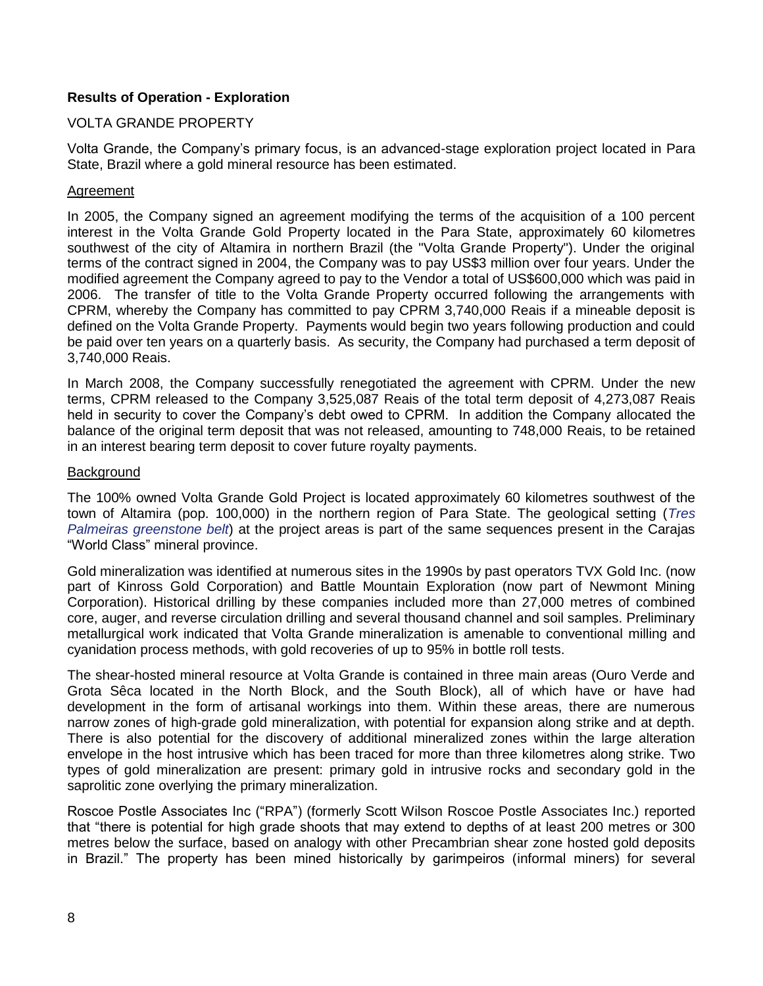## **Results of Operation - Exploration**

## VOLTA GRANDE PROPERTY

Volta Grande, the Company's primary focus, is an advanced-stage exploration project located in Para State, Brazil where a gold mineral resource has been estimated.

#### Agreement

In 2005, the Company signed an agreement modifying the terms of the acquisition of a 100 percent interest in the Volta Grande Gold Property located in the Para State, approximately 60 kilometres southwest of the city of Altamira in northern Brazil (the "Volta Grande Property"). Under the original terms of the contract signed in 2004, the Company was to pay US\$3 million over four years. Under the modified agreement the Company agreed to pay to the Vendor a total of US\$600,000 which was paid in 2006. The transfer of title to the Volta Grande Property occurred following the arrangements with CPRM, whereby the Company has committed to pay CPRM 3,740,000 Reais if a mineable deposit is defined on the Volta Grande Property. Payments would begin two years following production and could be paid over ten years on a quarterly basis. As security, the Company had purchased a term deposit of 3,740,000 Reais.

In March 2008, the Company successfully renegotiated the agreement with CPRM. Under the new terms, CPRM released to the Company 3,525,087 Reais of the total term deposit of 4,273,087 Reais held in security to cover the Company's debt owed to CPRM. In addition the Company allocated the balance of the original term deposit that was not released, amounting to 748,000 Reais, to be retained in an interest bearing term deposit to cover future royalty payments.

#### **Background**

The 100% owned Volta Grande Gold Project is located approximately 60 kilometres southwest of the town of Altamira (pop. 100,000) in the northern region of Para State. The geological setting (*Tres Palmeiras greenstone belt*) at the project areas is part of the same sequences present in the Carajas "World Class" mineral province.

Gold mineralization was identified at numerous sites in the 1990s by past operators TVX Gold Inc. (now part of Kinross Gold Corporation) and Battle Mountain Exploration (now part of Newmont Mining Corporation). Historical drilling by these companies included more than 27,000 metres of combined core, auger, and reverse circulation drilling and several thousand channel and soil samples. Preliminary metallurgical work indicated that Volta Grande mineralization is amenable to conventional milling and cyanidation process methods, with gold recoveries of up to 95% in bottle roll tests.

The shear-hosted mineral resource at Volta Grande is contained in three main areas (Ouro Verde and Grota Sêca located in the North Block, and the South Block), all of which have or have had development in the form of artisanal workings into them. Within these areas, there are numerous narrow zones of high-grade gold mineralization, with potential for expansion along strike and at depth. There is also potential for the discovery of additional mineralized zones within the large alteration envelope in the host intrusive which has been traced for more than three kilometres along strike. Two types of gold mineralization are present: primary gold in intrusive rocks and secondary gold in the saprolitic zone overlying the primary mineralization.

Roscoe Postle Associates Inc ("RPA") (formerly Scott Wilson Roscoe Postle Associates Inc.) reported that "there is potential for high grade shoots that may extend to depths of at least 200 metres or 300 metres below the surface, based on analogy with other Precambrian shear zone hosted gold deposits in Brazil." The property has been mined historically by garimpeiros (informal miners) for several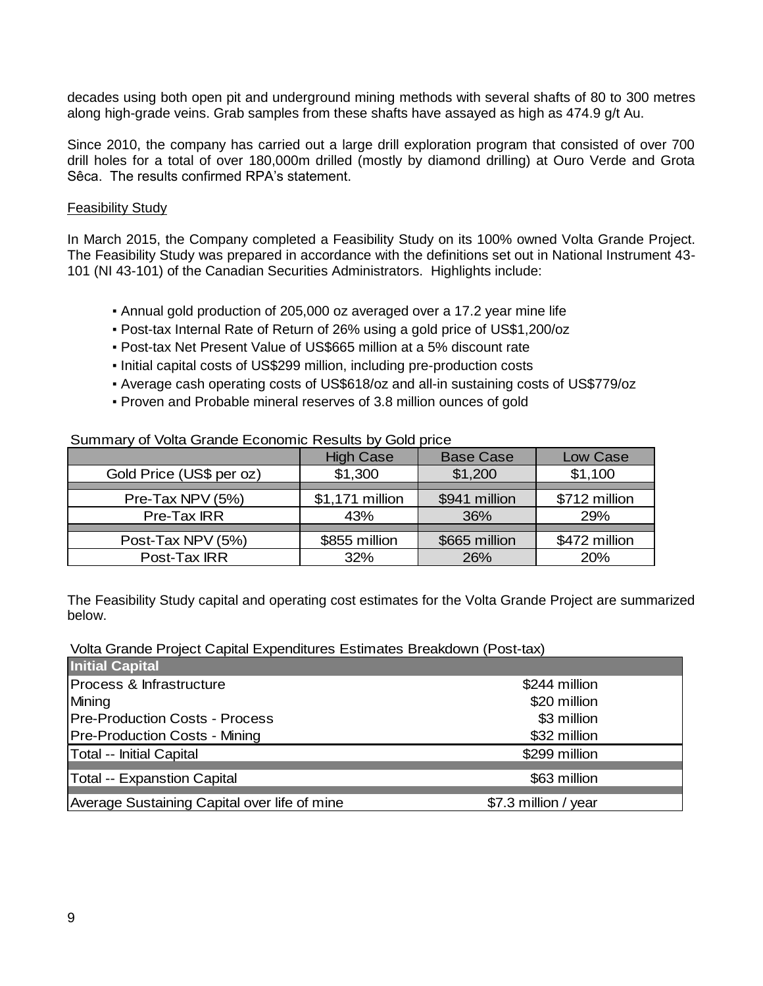decades using both open pit and underground mining methods with several shafts of 80 to 300 metres along high-grade veins. Grab samples from these shafts have assayed as high as 474.9 g/t Au.

Since 2010, the company has carried out a large drill exploration program that consisted of over 700 drill holes for a total of over 180,000m drilled (mostly by diamond drilling) at Ouro Verde and Grota Sêca. The results confirmed RPA's statement.

#### Feasibility Study

In March 2015, the Company completed a Feasibility Study on its 100% owned Volta Grande Project. The Feasibility Study was prepared in accordance with the definitions set out in National Instrument 43- 101 (NI 43-101) of the Canadian Securities Administrators. Highlights include:

- Annual gold production of 205,000 oz averaged over a 17.2 year mine life
- Post-tax Internal Rate of Return of 26% using a gold price of US\$1,200/oz
- Post-tax Net Present Value of US\$665 million at a 5% discount rate
- Initial capital costs of US\$299 million, including pre-production costs
- Average cash operating costs of US\$618/oz and all-in sustaining costs of US\$779/oz
- Proven and Probable mineral reserves of 3.8 million ounces of gold

## High Case | Base Case | Low Case Gold Price (US\$ per oz)  $\begin{array}{|c|c|c|c|c|} \hline \text{ $61,200$} & \text{ $51,200$} \hline \end{array}$  \$1,100 Pre-Tax NPV (5%) \$1,171 million \$941 million \$712 million Pre-Tax IRR 43% 36% 29% Post-Tax NPV (5%) | \$855 million | \$665 million | \$472 million Post-Tax IRR 32% 26% 20%

#### Summary of Volta Grande Economic Results by Gold price

The Feasibility Study capital and operating cost estimates for the Volta Grande Project are summarized below.

#### Volta Grande Project Capital Expenditures Estimates Breakdown (Post-tax)

| <b>Initial Capital</b>                       |                      |
|----------------------------------------------|----------------------|
| Process & Infrastructure                     | \$244 million        |
| Mining                                       | \$20 million         |
| <b>Pre-Production Costs - Process</b>        | \$3 million          |
| <b>Pre-Production Costs - Mining</b>         | \$32 million         |
| Total -- Initial Capital                     | \$299 million        |
| <b>Total -- Expanstion Capital</b>           | \$63 million         |
| Average Sustaining Capital over life of mine | \$7.3 million / year |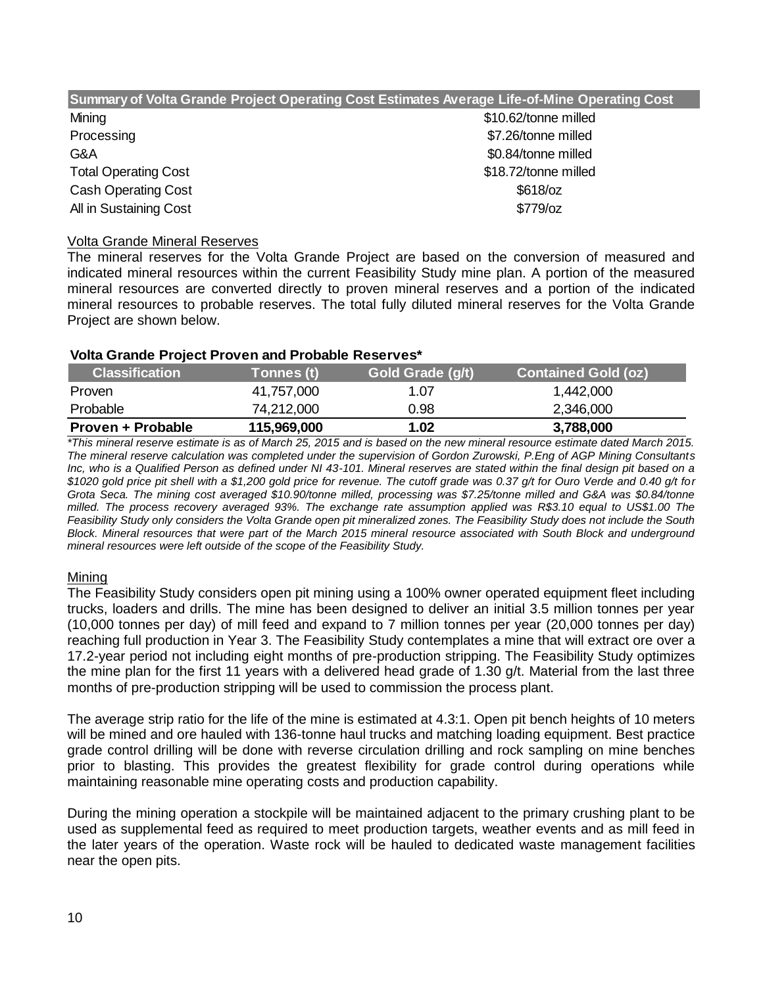|  |  | Summary of Volta Grande Project Operating Cost Estimates Average Life-of-Mine Operating Cost |  |
|--|--|----------------------------------------------------------------------------------------------|--|
|--|--|----------------------------------------------------------------------------------------------|--|

| Mining                      | \$10.62/tonne milled |
|-----------------------------|----------------------|
| Processing                  | \$7.26/tonne milled  |
| G&A                         | \$0.84/tonne milled  |
| <b>Total Operating Cost</b> | \$18.72/tonne milled |
| <b>Cash Operating Cost</b>  | $$618$ /oz           |
| All in Sustaining Cost      | \$779/oz             |

#### Volta Grande Mineral Reserves

The mineral reserves for the Volta Grande Project are based on the conversion of measured and indicated mineral resources within the current Feasibility Study mine plan. A portion of the measured mineral resources are converted directly to proven mineral reserves and a portion of the indicated mineral resources to probable reserves. The total fully diluted mineral reserves for the Volta Grande Project are shown below.

#### **Volta Grande Project Proven and Probable Reserves\***

| <b>Classification</b> | <b>Tonnes (t)</b> | Gold Grade (g/t) | <b>Contained Gold (oz)</b> |
|-----------------------|-------------------|------------------|----------------------------|
| <b>Proven</b>         | 41,757,000        | 1.07             | 1.442.000                  |
| Probable              | 74,212,000        | 0.98             | 2,346,000                  |
| Proven + Probable     | 115,969,000       | 1.02             | 3,788,000                  |

*\*This mineral reserve estimate is as of March 25, 2015 and is based on the new mineral resource estimate dated March 2015. The mineral reserve calculation was completed under the supervision of Gordon Zurowski, P.Eng of AGP Mining Consultants Inc, who is a Qualified Person as defined under NI 43-101. Mineral reserves are stated within the final design pit based on a \$1020 gold price pit shell with a \$1,200 gold price for revenue. The cutoff grade was 0.37 g/t for Ouro Verde and 0.40 g/t for*  Grota Seca. The mining cost averaged \$10.90/tonne milled, processing was \$7.25/tonne milled and G&A was \$0.84/tonne *milled. The process recovery averaged 93%. The exchange rate assumption applied was R\$3.10 equal to US\$1.00 The Feasibility Study only considers the Volta Grande open pit mineralized zones. The Feasibility Study does not include the South Block. Mineral resources that were part of the March 2015 mineral resource associated with South Block and underground mineral resources were left outside of the scope of the Feasibility Study.* 

## Mining

The Feasibility Study considers open pit mining using a 100% owner operated equipment fleet including trucks, loaders and drills. The mine has been designed to deliver an initial 3.5 million tonnes per year (10,000 tonnes per day) of mill feed and expand to 7 million tonnes per year (20,000 tonnes per day) reaching full production in Year 3. The Feasibility Study contemplates a mine that will extract ore over a 17.2-year period not including eight months of pre-production stripping. The Feasibility Study optimizes the mine plan for the first 11 years with a delivered head grade of 1.30 g/t. Material from the last three months of pre-production stripping will be used to commission the process plant.

The average strip ratio for the life of the mine is estimated at 4.3:1. Open pit bench heights of 10 meters will be mined and ore hauled with 136-tonne haul trucks and matching loading equipment. Best practice grade control drilling will be done with reverse circulation drilling and rock sampling on mine benches prior to blasting. This provides the greatest flexibility for grade control during operations while maintaining reasonable mine operating costs and production capability.

During the mining operation a stockpile will be maintained adjacent to the primary crushing plant to be used as supplemental feed as required to meet production targets, weather events and as mill feed in the later years of the operation. Waste rock will be hauled to dedicated waste management facilities near the open pits.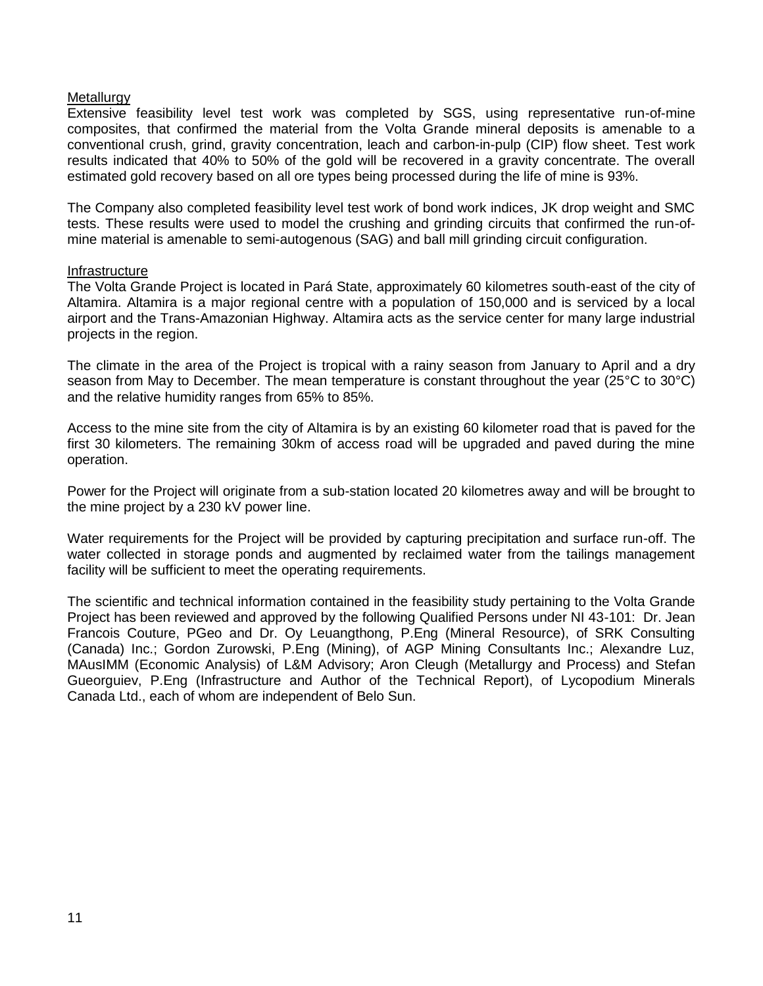#### **Metallurgy**

Extensive feasibility level test work was completed by SGS, using representative run-of-mine composites, that confirmed the material from the Volta Grande mineral deposits is amenable to a conventional crush, grind, gravity concentration, leach and carbon-in-pulp (CIP) flow sheet. Test work results indicated that 40% to 50% of the gold will be recovered in a gravity concentrate. The overall estimated gold recovery based on all ore types being processed during the life of mine is 93%.

The Company also completed feasibility level test work of bond work indices, JK drop weight and SMC tests. These results were used to model the crushing and grinding circuits that confirmed the run-ofmine material is amenable to semi-autogenous (SAG) and ball mill grinding circuit configuration.

#### Infrastructure

The Volta Grande Project is located in Pará State, approximately 60 kilometres south-east of the city of Altamira. Altamira is a major regional centre with a population of 150,000 and is serviced by a local airport and the Trans-Amazonian Highway. Altamira acts as the service center for many large industrial projects in the region.

The climate in the area of the Project is tropical with a rainy season from January to April and a dry season from May to December. The mean temperature is constant throughout the year (25°C to 30°C) and the relative humidity ranges from 65% to 85%.

Access to the mine site from the city of Altamira is by an existing 60 kilometer road that is paved for the first 30 kilometers. The remaining 30km of access road will be upgraded and paved during the mine operation.

Power for the Project will originate from a sub-station located 20 kilometres away and will be brought to the mine project by a 230 kV power line.

Water requirements for the Project will be provided by capturing precipitation and surface run-off. The water collected in storage ponds and augmented by reclaimed water from the tailings management facility will be sufficient to meet the operating requirements.

The scientific and technical information contained in the feasibility study pertaining to the Volta Grande Project has been reviewed and approved by the following Qualified Persons under NI 43-101: Dr. Jean Francois Couture, PGeo and Dr. Oy Leuangthong, P.Eng (Mineral Resource), of SRK Consulting (Canada) Inc.; Gordon Zurowski, P.Eng (Mining), of AGP Mining Consultants Inc.; Alexandre Luz, MAusIMM (Economic Analysis) of L&M Advisory; Aron Cleugh (Metallurgy and Process) and Stefan Gueorguiev, P.Eng (Infrastructure and Author of the Technical Report), of Lycopodium Minerals Canada Ltd., each of whom are independent of Belo Sun.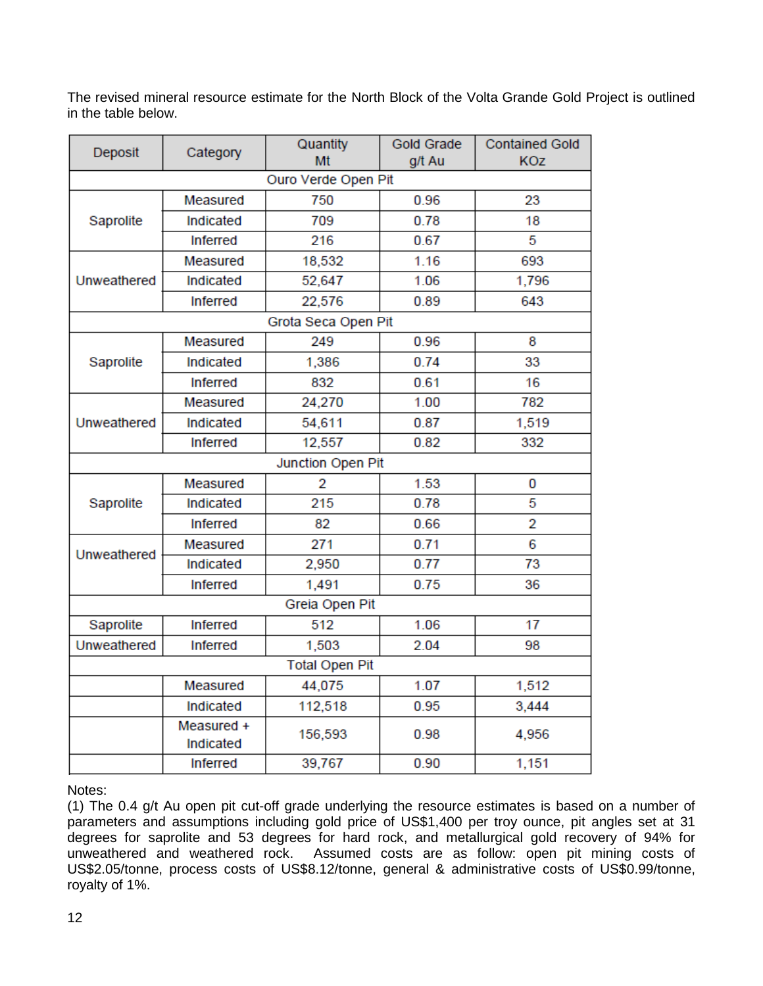The revised mineral resource estimate for the North Block of the Volta Grande Gold Project is outlined in the table below.

| Deposit     | Category                | Quantity              | <b>Gold Grade</b> | <b>Contained Gold</b> |
|-------------|-------------------------|-----------------------|-------------------|-----------------------|
|             |                         | Mt                    | g/t Au            | <b>KOZ</b>            |
|             |                         | Ouro Verde Open Pit   |                   |                       |
|             | Measured                | 750                   | 0.96              | 23                    |
| Saprolite   | Indicated               | 709                   | 0.78              | 18                    |
|             | Inferred                | 216                   | 0.67              | 5                     |
|             | Measured                | 18,532                | 1.16              | 693                   |
| Unweathered | Indicated               | 52,647                | 1.06              | 1,796                 |
|             | <b>Inferred</b>         | 22,576                | 0.89              | 643                   |
|             |                         | Grota Seca Open Pit   |                   |                       |
|             | Measured                | 249                   | 0.96              | 8                     |
| Saprolite   | Indicated               | 1,386                 | 0.74              | 33                    |
|             | <b>Inferred</b>         | 832                   | 0.61              | 16                    |
|             | Measured                | 24,270                | 1.00              | 782                   |
| Unweathered | Indicated               | 54,611                | 0.87              | 1,519                 |
|             | <b>Inferred</b>         | 12,557                | 0.82              | 332                   |
|             |                         | Junction Open Pit     |                   |                       |
|             | Measured                | 2                     | 1.53              | 0                     |
| Saprolite   | Indicated               | 215                   | 0.78              | 5                     |
|             | <b>Inferred</b>         | 82                    | 0.66              | $\overline{2}$        |
| Unweathered | Measured                | 271                   | 0.71              | 6                     |
|             | Indicated               | 2,950                 | 0.77              | 73                    |
|             | <b>Inferred</b>         | 1,491                 | 0.75              | 36                    |
|             |                         | Greia Open Pit        |                   |                       |
| Saprolite   | Inferred                | 512                   | 1.06              | 17                    |
| Unweathered | <b>Inferred</b>         | 1,503                 | 2.04              | 98                    |
|             |                         | <b>Total Open Pit</b> |                   |                       |
|             | Measured                | 44,075                | 1.07              | 1,512                 |
|             | Indicated               | 112,518               | 0.95              | 3,444                 |
|             | Measured +<br>Indicated | 156,593               | 0.98              | 4,956                 |
|             | <b>Inferred</b>         | 39,767                | 0.90              | 1,151                 |

Notes:

(1) The 0.4 g/t Au open pit cut-off grade underlying the resource estimates is based on a number of parameters and assumptions including gold price of US\$1,400 per troy ounce, pit angles set at 31 degrees for saprolite and 53 degrees for hard rock, and metallurgical gold recovery of 94% for unweathered and weathered rock. Assumed costs are as follow: open pit mining costs of US\$2.05/tonne, process costs of US\$8.12/tonne, general & administrative costs of US\$0.99/tonne, royalty of 1%.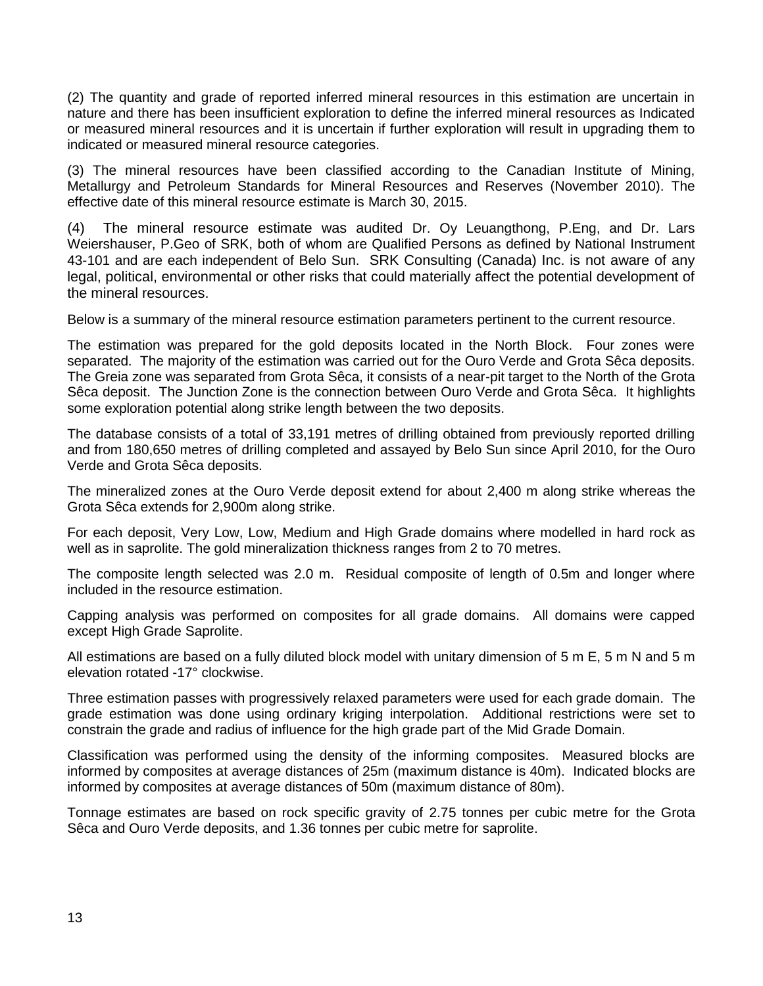(2) The quantity and grade of reported inferred mineral resources in this estimation are uncertain in nature and there has been insufficient exploration to define the inferred mineral resources as Indicated or measured mineral resources and it is uncertain if further exploration will result in upgrading them to indicated or measured mineral resource categories.

(3) The mineral resources have been classified according to the Canadian Institute of Mining, Metallurgy and Petroleum Standards for Mineral Resources and Reserves (November 2010). The effective date of this mineral resource estimate is March 30, 2015.

(4) The mineral resource estimate was audited Dr. Oy Leuangthong, P.Eng, and Dr. Lars Weiershauser, P.Geo of SRK, both of whom are Qualified Persons as defined by National Instrument 43-101 and are each independent of Belo Sun. SRK Consulting (Canada) Inc. is not aware of any legal, political, environmental or other risks that could materially affect the potential development of the mineral resources.

Below is a summary of the mineral resource estimation parameters pertinent to the current resource.

The estimation was prepared for the gold deposits located in the North Block. Four zones were separated. The majority of the estimation was carried out for the Ouro Verde and Grota Sêca deposits. The Greia zone was separated from Grota Sêca, it consists of a near-pit target to the North of the Grota Sêca deposit. The Junction Zone is the connection between Ouro Verde and Grota Sêca. It highlights some exploration potential along strike length between the two deposits.

The database consists of a total of 33,191 metres of drilling obtained from previously reported drilling and from 180,650 metres of drilling completed and assayed by Belo Sun since April 2010, for the Ouro Verde and Grota Sêca deposits.

The mineralized zones at the Ouro Verde deposit extend for about 2,400 m along strike whereas the Grota Sêca extends for 2,900m along strike.

For each deposit, Very Low, Low, Medium and High Grade domains where modelled in hard rock as well as in saprolite. The gold mineralization thickness ranges from 2 to 70 metres.

The composite length selected was 2.0 m. Residual composite of length of 0.5m and longer where included in the resource estimation.

Capping analysis was performed on composites for all grade domains. All domains were capped except High Grade Saprolite.

All estimations are based on a fully diluted block model with unitary dimension of 5 m E, 5 m N and 5 m elevation rotated -17° clockwise.

Three estimation passes with progressively relaxed parameters were used for each grade domain. The grade estimation was done using ordinary kriging interpolation. Additional restrictions were set to constrain the grade and radius of influence for the high grade part of the Mid Grade Domain.

Classification was performed using the density of the informing composites. Measured blocks are informed by composites at average distances of 25m (maximum distance is 40m). Indicated blocks are informed by composites at average distances of 50m (maximum distance of 80m).

Tonnage estimates are based on rock specific gravity of 2.75 tonnes per cubic metre for the Grota Sêca and Ouro Verde deposits, and 1.36 tonnes per cubic metre for saprolite.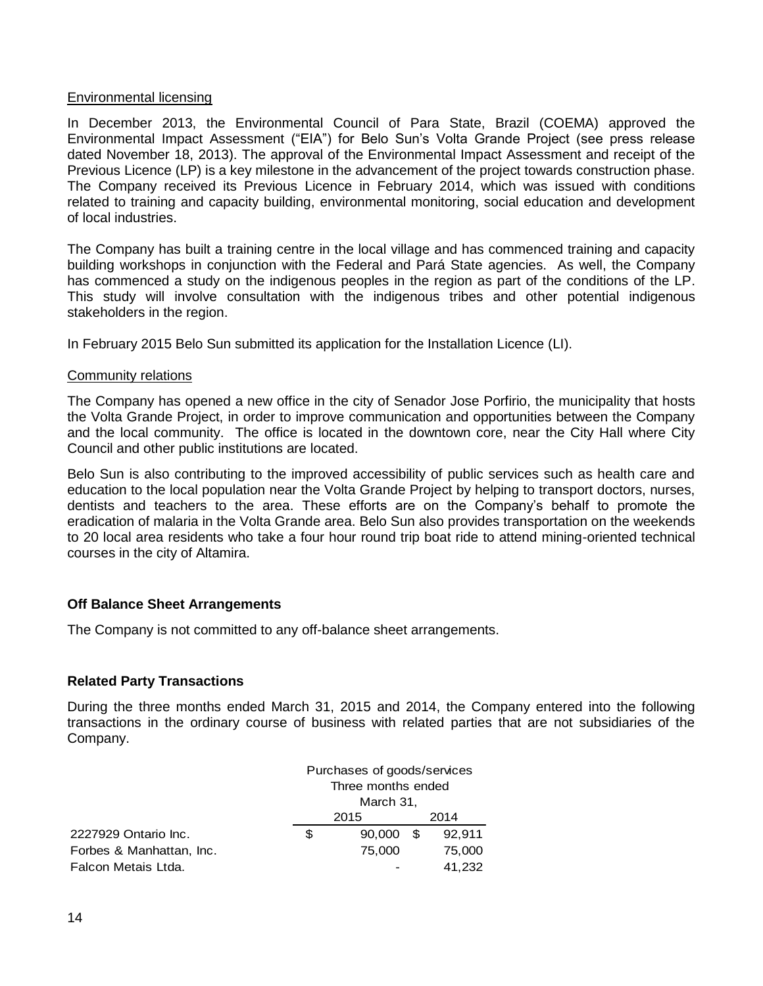#### Environmental licensing

In December 2013, the Environmental Council of Para State, Brazil (COEMA) approved the Environmental Impact Assessment ("EIA") for Belo Sun's Volta Grande Project (see press release dated November 18, 2013). The approval of the Environmental Impact Assessment and receipt of the Previous Licence (LP) is a key milestone in the advancement of the project towards construction phase. The Company received its Previous Licence in February 2014, which was issued with conditions related to training and capacity building, environmental monitoring, social education and development of local industries.

The Company has built a training centre in the local village and has commenced training and capacity building workshops in conjunction with the Federal and Pará State agencies. As well, the Company has commenced a study on the indigenous peoples in the region as part of the conditions of the LP. This study will involve consultation with the indigenous tribes and other potential indigenous stakeholders in the region.

In February 2015 Belo Sun submitted its application for the Installation Licence (LI).

#### Community relations

The Company has opened a new office in the city of Senador Jose Porfirio, the municipality that hosts the Volta Grande Project, in order to improve communication and opportunities between the Company and the local community. The office is located in the downtown core, near the City Hall where City Council and other public institutions are located.

Belo Sun is also contributing to the improved accessibility of public services such as health care and education to the local population near the Volta Grande Project by helping to transport doctors, nurses, dentists and teachers to the area. These efforts are on the Company's behalf to promote the eradication of malaria in the Volta Grande area. Belo Sun also provides transportation on the weekends to 20 local area residents who take a four hour round trip boat ride to attend mining-oriented technical courses in the city of Altamira.

## **Off Balance Sheet Arrangements**

The Company is not committed to any off-balance sheet arrangements.

## **Related Party Transactions**

During the three months ended March 31, 2015 and 2014, the Company entered into the following transactions in the ordinary course of business with related parties that are not subsidiaries of the Company.

|                          |                    | Purchases of goods/services |    |        |
|--------------------------|--------------------|-----------------------------|----|--------|
|                          | Three months ended |                             |    |        |
|                          | March 31,          |                             |    |        |
|                          | 2015               |                             |    | 2014   |
| 2227929 Ontario Inc.     | \$.                | 90,000                      | -S | 92.911 |
| Forbes & Manhattan, Inc. |                    | 75,000                      |    | 75,000 |
| Falcon Metais Ltda.      |                    |                             |    | 41,232 |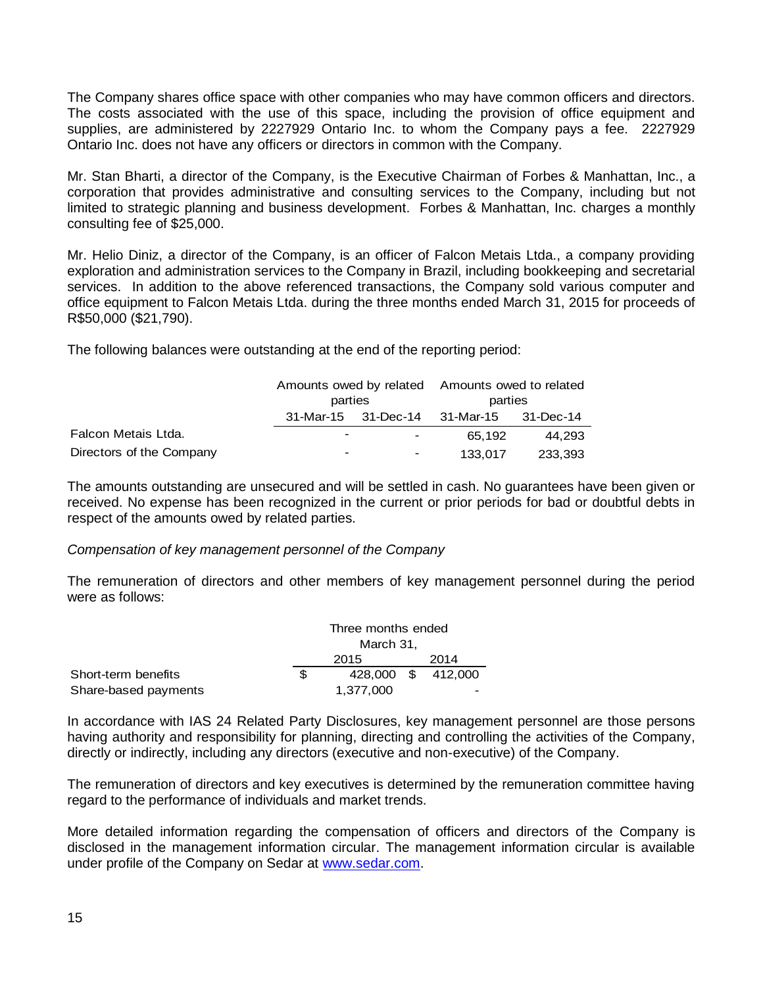The Company shares office space with other companies who may have common officers and directors. The costs associated with the use of this space, including the provision of office equipment and supplies, are administered by 2227929 Ontario Inc. to whom the Company pays a fee. 2227929 Ontario Inc. does not have any officers or directors in common with the Company.

Mr. Stan Bharti, a director of the Company, is the Executive Chairman of Forbes & Manhattan, Inc., a corporation that provides administrative and consulting services to the Company, including but not limited to strategic planning and business development. Forbes & Manhattan, Inc. charges a monthly consulting fee of \$25,000.

Mr. Helio Diniz, a director of the Company, is an officer of Falcon Metais Ltda., a company providing exploration and administration services to the Company in Brazil, including bookkeeping and secretarial services. In addition to the above referenced transactions, the Company sold various computer and office equipment to Falcon Metais Ltda. during the three months ended March 31, 2015 for proceeds of R\$50,000 (\$21,790).

The following balances were outstanding at the end of the reporting period:

|                          |                          | Amounts owed by related Amounts owed to related |                                         |         |
|--------------------------|--------------------------|-------------------------------------------------|-----------------------------------------|---------|
|                          |                          | parties                                         |                                         | parties |
|                          |                          |                                                 | 31-Mar-15 31-Dec-14 31-Mar-15 31-Dec-14 |         |
| Falcon Metais Ltda.      | $\overline{\phantom{0}}$ | $\blacksquare$                                  | 65.192                                  | 44.293  |
| Directors of the Company | $\blacksquare$           | $\overline{\phantom{a}}$                        | 133.017                                 | 233,393 |

The amounts outstanding are unsecured and will be settled in cash. No guarantees have been given or received. No expense has been recognized in the current or prior periods for bad or doubtful debts in respect of the amounts owed by related parties.

#### *Compensation of key management personnel of the Company*

The remuneration of directors and other members of key management personnel during the period were as follows:

|                      |           | Three months ended |  |                    |  |
|----------------------|-----------|--------------------|--|--------------------|--|
|                      |           | March 31,          |  |                    |  |
|                      |           | 2015               |  | 2014               |  |
| Short-term benefits  |           |                    |  | 428,000 \$ 412,000 |  |
| Share-based payments | 1.377.000 |                    |  |                    |  |

In accordance with IAS 24 Related Party Disclosures, key management personnel are those persons having authority and responsibility for planning, directing and controlling the activities of the Company, directly or indirectly, including any directors (executive and non-executive) of the Company.

The remuneration of directors and key executives is determined by the remuneration committee having regard to the performance of individuals and market trends.

More detailed information regarding the compensation of officers and directors of the Company is disclosed in the management information circular. The management information circular is available under profile of the Company on Sedar at [www.sedar.com.](http://www.sedar.com/)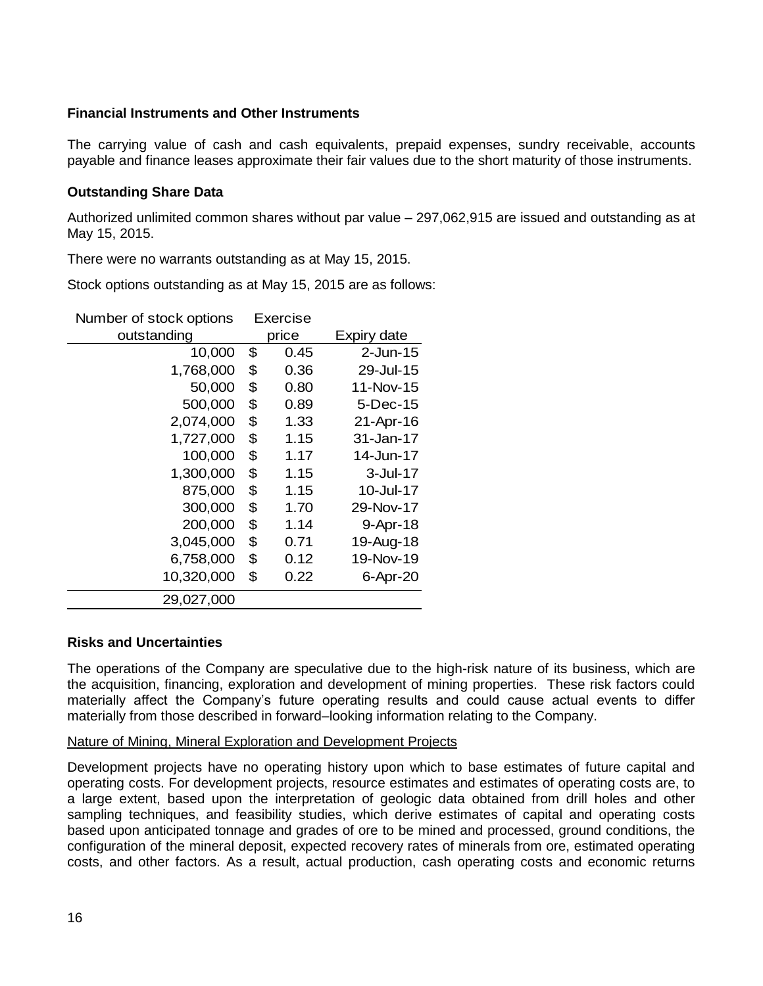## **Financial Instruments and Other Instruments**

The carrying value of cash and cash equivalents, prepaid expenses, sundry receivable, accounts payable and finance leases approximate their fair values due to the short maturity of those instruments.

## **Outstanding Share Data**

Authorized unlimited common shares without par value – 297,062,915 are issued and outstanding as at May 15, 2015.

There were no warrants outstanding as at May 15, 2015.

Stock options outstanding as at May 15, 2015 are as follows:

| Number of stock options | Exercise |      |                    |
|-------------------------|----------|------|--------------------|
| outstanding             | price    |      | <b>Expiry date</b> |
| 10,000                  | \$       | 0.45 | 2-Jun-15           |
| 1,768,000               | \$       | 0.36 | 29-Jul-15          |
| 50,000                  | \$       | 0.80 | 11-Nov-15          |
| 500,000                 | \$       | 0.89 | 5-Dec-15           |
| 2,074,000               | \$       | 1.33 | 21-Apr-16          |
| 1,727,000               | \$       | 1.15 | 31-Jan-17          |
| 100,000                 | \$       | 1.17 | 14-Jun-17          |
| 1,300,000               | \$       | 1.15 | 3-Jul-17           |
| 875,000                 | \$       | 1.15 | 10-Jul-17          |
| 300,000                 | \$       | 1.70 | 29-Nov-17          |
| 200,000                 | \$       | 1.14 | 9-Apr-18           |
| 3,045,000               | \$       | 0.71 | 19-Aug-18          |
| 6,758,000               | \$       | 0.12 | 19-Nov-19          |
| 10,320,000              | \$       | 0.22 | 6-Apr-20           |
| 29,027,000              |          |      |                    |

## **Risks and Uncertainties**

The operations of the Company are speculative due to the high-risk nature of its business, which are the acquisition, financing, exploration and development of mining properties. These risk factors could materially affect the Company's future operating results and could cause actual events to differ materially from those described in forward–looking information relating to the Company.

## Nature of Mining, Mineral Exploration and Development Projects

Development projects have no operating history upon which to base estimates of future capital and operating costs. For development projects, resource estimates and estimates of operating costs are, to a large extent, based upon the interpretation of geologic data obtained from drill holes and other sampling techniques, and feasibility studies, which derive estimates of capital and operating costs based upon anticipated tonnage and grades of ore to be mined and processed, ground conditions, the configuration of the mineral deposit, expected recovery rates of minerals from ore, estimated operating costs, and other factors. As a result, actual production, cash operating costs and economic returns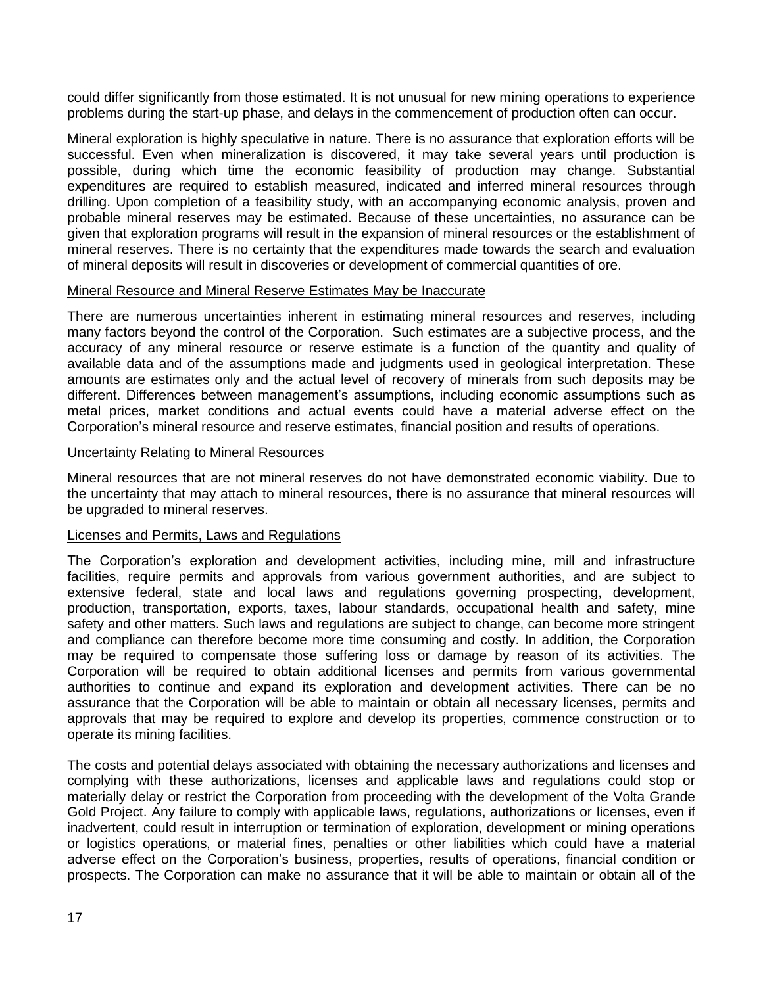could differ significantly from those estimated. It is not unusual for new mining operations to experience problems during the start-up phase, and delays in the commencement of production often can occur.

Mineral exploration is highly speculative in nature. There is no assurance that exploration efforts will be successful. Even when mineralization is discovered, it may take several years until production is possible, during which time the economic feasibility of production may change. Substantial expenditures are required to establish measured, indicated and inferred mineral resources through drilling. Upon completion of a feasibility study, with an accompanying economic analysis, proven and probable mineral reserves may be estimated. Because of these uncertainties, no assurance can be given that exploration programs will result in the expansion of mineral resources or the establishment of mineral reserves. There is no certainty that the expenditures made towards the search and evaluation of mineral deposits will result in discoveries or development of commercial quantities of ore.

#### Mineral Resource and Mineral Reserve Estimates May be Inaccurate

There are numerous uncertainties inherent in estimating mineral resources and reserves, including many factors beyond the control of the Corporation. Such estimates are a subjective process, and the accuracy of any mineral resource or reserve estimate is a function of the quantity and quality of available data and of the assumptions made and judgments used in geological interpretation. These amounts are estimates only and the actual level of recovery of minerals from such deposits may be different. Differences between management's assumptions, including economic assumptions such as metal prices, market conditions and actual events could have a material adverse effect on the Corporation's mineral resource and reserve estimates, financial position and results of operations.

#### Uncertainty Relating to Mineral Resources

Mineral resources that are not mineral reserves do not have demonstrated economic viability. Due to the uncertainty that may attach to mineral resources, there is no assurance that mineral resources will be upgraded to mineral reserves.

#### Licenses and Permits, Laws and Regulations

The Corporation's exploration and development activities, including mine, mill and infrastructure facilities, require permits and approvals from various government authorities, and are subject to extensive federal, state and local laws and regulations governing prospecting, development, production, transportation, exports, taxes, labour standards, occupational health and safety, mine safety and other matters. Such laws and regulations are subject to change, can become more stringent and compliance can therefore become more time consuming and costly. In addition, the Corporation may be required to compensate those suffering loss or damage by reason of its activities. The Corporation will be required to obtain additional licenses and permits from various governmental authorities to continue and expand its exploration and development activities. There can be no assurance that the Corporation will be able to maintain or obtain all necessary licenses, permits and approvals that may be required to explore and develop its properties, commence construction or to operate its mining facilities.

The costs and potential delays associated with obtaining the necessary authorizations and licenses and complying with these authorizations, licenses and applicable laws and regulations could stop or materially delay or restrict the Corporation from proceeding with the development of the Volta Grande Gold Project. Any failure to comply with applicable laws, regulations, authorizations or licenses, even if inadvertent, could result in interruption or termination of exploration, development or mining operations or logistics operations, or material fines, penalties or other liabilities which could have a material adverse effect on the Corporation's business, properties, results of operations, financial condition or prospects. The Corporation can make no assurance that it will be able to maintain or obtain all of the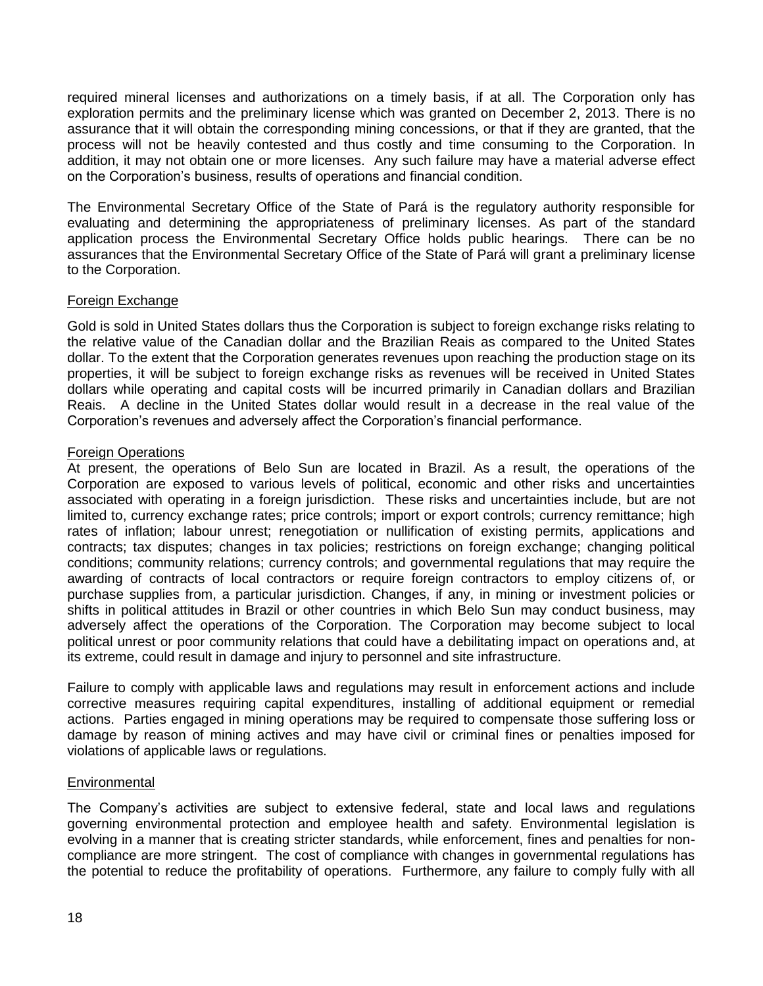required mineral licenses and authorizations on a timely basis, if at all. The Corporation only has exploration permits and the preliminary license which was granted on December 2, 2013. There is no assurance that it will obtain the corresponding mining concessions, or that if they are granted, that the process will not be heavily contested and thus costly and time consuming to the Corporation. In addition, it may not obtain one or more licenses. Any such failure may have a material adverse effect on the Corporation's business, results of operations and financial condition.

The Environmental Secretary Office of the State of Pará is the regulatory authority responsible for evaluating and determining the appropriateness of preliminary licenses. As part of the standard application process the Environmental Secretary Office holds public hearings. There can be no assurances that the Environmental Secretary Office of the State of Pará will grant a preliminary license to the Corporation.

#### Foreign Exchange

Gold is sold in United States dollars thus the Corporation is subject to foreign exchange risks relating to the relative value of the Canadian dollar and the Brazilian Reais as compared to the United States dollar. To the extent that the Corporation generates revenues upon reaching the production stage on its properties, it will be subject to foreign exchange risks as revenues will be received in United States dollars while operating and capital costs will be incurred primarily in Canadian dollars and Brazilian Reais. A decline in the United States dollar would result in a decrease in the real value of the Corporation's revenues and adversely affect the Corporation's financial performance.

#### Foreign Operations

At present, the operations of Belo Sun are located in Brazil. As a result, the operations of the Corporation are exposed to various levels of political, economic and other risks and uncertainties associated with operating in a foreign jurisdiction. These risks and uncertainties include, but are not limited to, currency exchange rates; price controls; import or export controls; currency remittance; high rates of inflation; labour unrest; renegotiation or nullification of existing permits, applications and contracts; tax disputes; changes in tax policies; restrictions on foreign exchange; changing political conditions; community relations; currency controls; and governmental regulations that may require the awarding of contracts of local contractors or require foreign contractors to employ citizens of, or purchase supplies from, a particular jurisdiction. Changes, if any, in mining or investment policies or shifts in political attitudes in Brazil or other countries in which Belo Sun may conduct business, may adversely affect the operations of the Corporation. The Corporation may become subject to local political unrest or poor community relations that could have a debilitating impact on operations and, at its extreme, could result in damage and injury to personnel and site infrastructure.

Failure to comply with applicable laws and regulations may result in enforcement actions and include corrective measures requiring capital expenditures, installing of additional equipment or remedial actions. Parties engaged in mining operations may be required to compensate those suffering loss or damage by reason of mining actives and may have civil or criminal fines or penalties imposed for violations of applicable laws or regulations.

#### **Environmental**

The Company's activities are subject to extensive federal, state and local laws and regulations governing environmental protection and employee health and safety. Environmental legislation is evolving in a manner that is creating stricter standards, while enforcement, fines and penalties for noncompliance are more stringent. The cost of compliance with changes in governmental regulations has the potential to reduce the profitability of operations. Furthermore, any failure to comply fully with all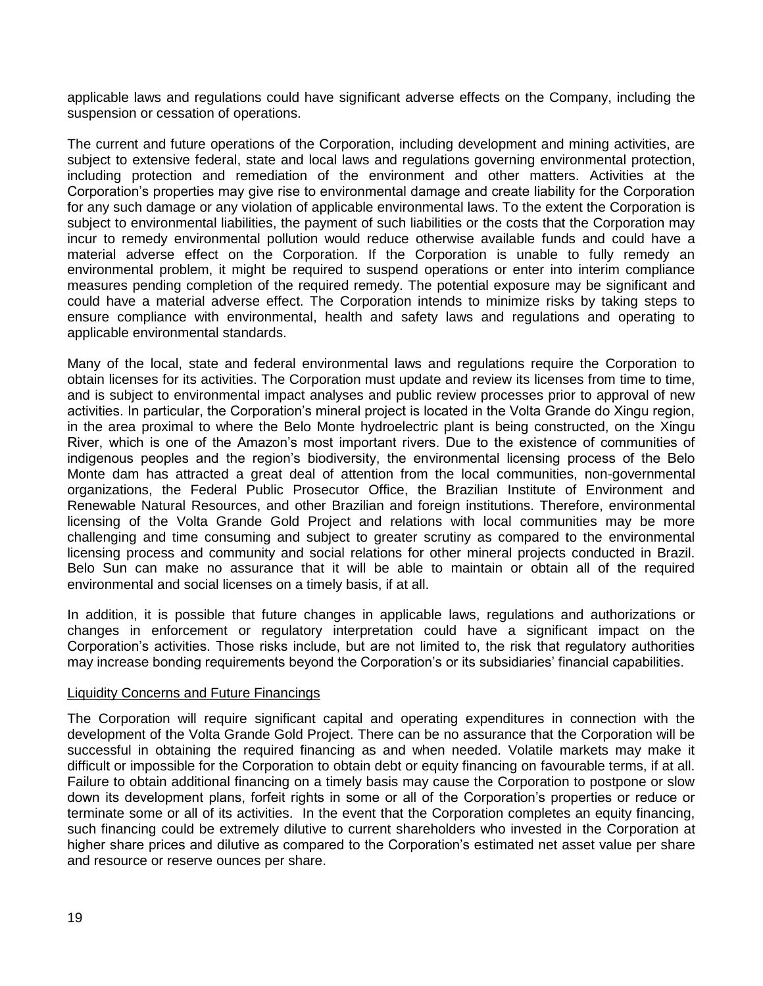applicable laws and regulations could have significant adverse effects on the Company, including the suspension or cessation of operations.

The current and future operations of the Corporation, including development and mining activities, are subject to extensive federal, state and local laws and regulations governing environmental protection, including protection and remediation of the environment and other matters. Activities at the Corporation's properties may give rise to environmental damage and create liability for the Corporation for any such damage or any violation of applicable environmental laws. To the extent the Corporation is subject to environmental liabilities, the payment of such liabilities or the costs that the Corporation may incur to remedy environmental pollution would reduce otherwise available funds and could have a material adverse effect on the Corporation. If the Corporation is unable to fully remedy an environmental problem, it might be required to suspend operations or enter into interim compliance measures pending completion of the required remedy. The potential exposure may be significant and could have a material adverse effect. The Corporation intends to minimize risks by taking steps to ensure compliance with environmental, health and safety laws and regulations and operating to applicable environmental standards.

Many of the local, state and federal environmental laws and regulations require the Corporation to obtain licenses for its activities. The Corporation must update and review its licenses from time to time, and is subject to environmental impact analyses and public review processes prior to approval of new activities. In particular, the Corporation's mineral project is located in the Volta Grande do Xingu region, in the area proximal to where the Belo Monte hydroelectric plant is being constructed, on the Xingu River, which is one of the Amazon's most important rivers. Due to the existence of communities of indigenous peoples and the region's biodiversity, the environmental licensing process of the Belo Monte dam has attracted a great deal of attention from the local communities, non-governmental organizations, the Federal Public Prosecutor Office, the Brazilian Institute of Environment and Renewable Natural Resources, and other Brazilian and foreign institutions. Therefore, environmental licensing of the Volta Grande Gold Project and relations with local communities may be more challenging and time consuming and subject to greater scrutiny as compared to the environmental licensing process and community and social relations for other mineral projects conducted in Brazil. Belo Sun can make no assurance that it will be able to maintain or obtain all of the required environmental and social licenses on a timely basis, if at all.

In addition, it is possible that future changes in applicable laws, regulations and authorizations or changes in enforcement or regulatory interpretation could have a significant impact on the Corporation's activities. Those risks include, but are not limited to, the risk that regulatory authorities may increase bonding requirements beyond the Corporation's or its subsidiaries' financial capabilities.

#### Liquidity Concerns and Future Financings

The Corporation will require significant capital and operating expenditures in connection with the development of the Volta Grande Gold Project. There can be no assurance that the Corporation will be successful in obtaining the required financing as and when needed. Volatile markets may make it difficult or impossible for the Corporation to obtain debt or equity financing on favourable terms, if at all. Failure to obtain additional financing on a timely basis may cause the Corporation to postpone or slow down its development plans, forfeit rights in some or all of the Corporation's properties or reduce or terminate some or all of its activities. In the event that the Corporation completes an equity financing, such financing could be extremely dilutive to current shareholders who invested in the Corporation at higher share prices and dilutive as compared to the Corporation's estimated net asset value per share and resource or reserve ounces per share.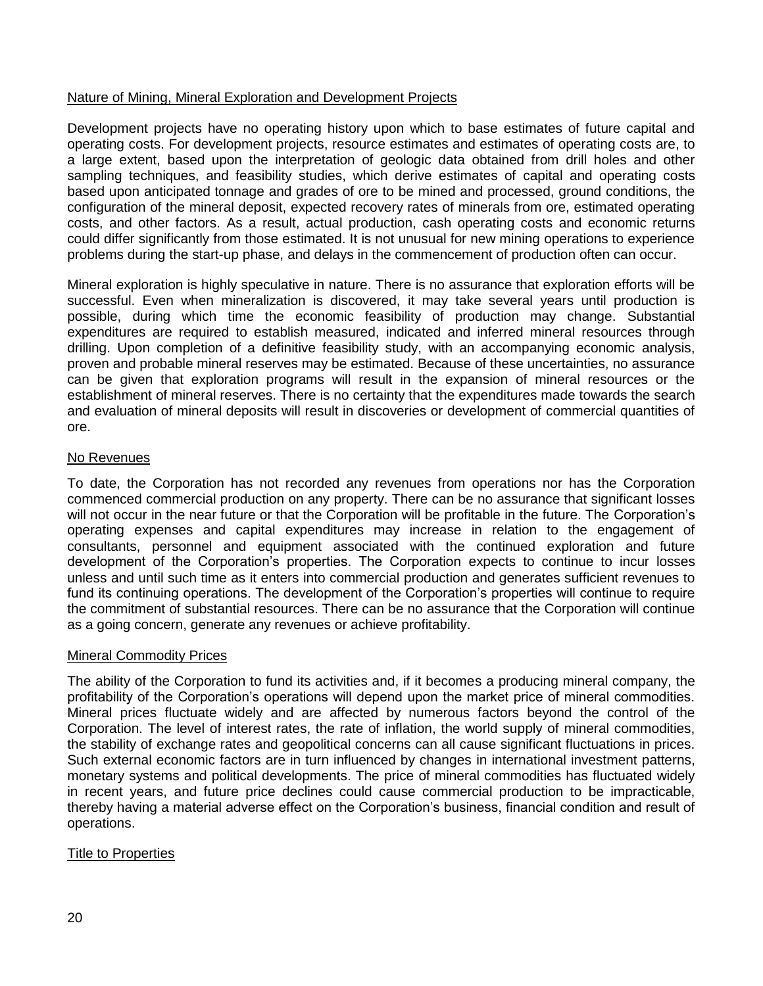## Nature of Mining, Mineral Exploration and Development Projects

Development projects have no operating history upon which to base estimates of future capital and operating costs. For development projects, resource estimates and estimates of operating costs are, to a large extent, based upon the interpretation of geologic data obtained from drill holes and other sampling techniques, and feasibility studies, which derive estimates of capital and operating costs based upon anticipated tonnage and grades of ore to be mined and processed, ground conditions, the configuration of the mineral deposit, expected recovery rates of minerals from ore, estimated operating costs, and other factors. As a result, actual production, cash operating costs and economic returns could differ significantly from those estimated. It is not unusual for new mining operations to experience problems during the start-up phase, and delays in the commencement of production often can occur.

Mineral exploration is highly speculative in nature. There is no assurance that exploration efforts will be successful. Even when mineralization is discovered, it may take several years until production is possible, during which time the economic feasibility of production may change. Substantial expenditures are required to establish measured, indicated and inferred mineral resources through drilling. Upon completion of a definitive feasibility study, with an accompanying economic analysis, proven and probable mineral reserves may be estimated. Because of these uncertainties, no assurance can be given that exploration programs will result in the expansion of mineral resources or the establishment of mineral reserves. There is no certainty that the expenditures made towards the search and evaluation of mineral deposits will result in discoveries or development of commercial quantities of ore.

## No Revenues

To date, the Corporation has not recorded any revenues from operations nor has the Corporation commenced commercial production on any property. There can be no assurance that significant losses will not occur in the near future or that the Corporation will be profitable in the future. The Corporation's operating expenses and capital expenditures may increase in relation to the engagement of consultants, personnel and equipment associated with the continued exploration and future development of the Corporation's properties. The Corporation expects to continue to incur losses unless and until such time as it enters into commercial production and generates sufficient revenues to fund its continuing operations. The development of the Corporation's properties will continue to require the commitment of substantial resources. There can be no assurance that the Corporation will continue as a going concern, generate any revenues or achieve profitability.

## Mineral Commodity Prices

The ability of the Corporation to fund its activities and, if it becomes a producing mineral company, the profitability of the Corporation's operations will depend upon the market price of mineral commodities. Mineral prices fluctuate widely and are affected by numerous factors beyond the control of the Corporation. The level of interest rates, the rate of inflation, the world supply of mineral commodities, the stability of exchange rates and geopolitical concerns can all cause significant fluctuations in prices. Such external economic factors are in turn influenced by changes in international investment patterns, monetary systems and political developments. The price of mineral commodities has fluctuated widely in recent years, and future price declines could cause commercial production to be impracticable, thereby having a material adverse effect on the Corporation's business, financial condition and result of operations.

## Title to Properties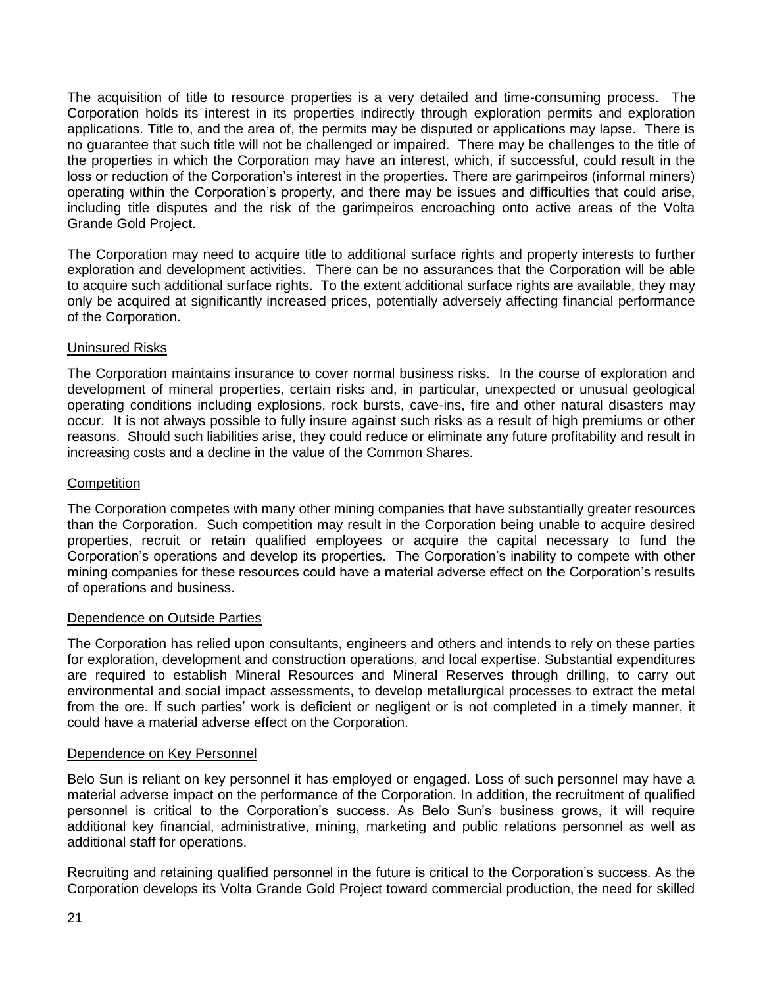The acquisition of title to resource properties is a very detailed and time-consuming process. The Corporation holds its interest in its properties indirectly through exploration permits and exploration applications. Title to, and the area of, the permits may be disputed or applications may lapse. There is no guarantee that such title will not be challenged or impaired. There may be challenges to the title of the properties in which the Corporation may have an interest, which, if successful, could result in the loss or reduction of the Corporation's interest in the properties. There are garimpeiros (informal miners) operating within the Corporation's property, and there may be issues and difficulties that could arise, including title disputes and the risk of the garimpeiros encroaching onto active areas of the Volta Grande Gold Project.

The Corporation may need to acquire title to additional surface rights and property interests to further exploration and development activities. There can be no assurances that the Corporation will be able to acquire such additional surface rights. To the extent additional surface rights are available, they may only be acquired at significantly increased prices, potentially adversely affecting financial performance of the Corporation.

## Uninsured Risks

The Corporation maintains insurance to cover normal business risks. In the course of exploration and development of mineral properties, certain risks and, in particular, unexpected or unusual geological operating conditions including explosions, rock bursts, cave-ins, fire and other natural disasters may occur. It is not always possible to fully insure against such risks as a result of high premiums or other reasons. Should such liabilities arise, they could reduce or eliminate any future profitability and result in increasing costs and a decline in the value of the Common Shares.

## **Competition**

The Corporation competes with many other mining companies that have substantially greater resources than the Corporation. Such competition may result in the Corporation being unable to acquire desired properties, recruit or retain qualified employees or acquire the capital necessary to fund the Corporation's operations and develop its properties. The Corporation's inability to compete with other mining companies for these resources could have a material adverse effect on the Corporation's results of operations and business.

## Dependence on Outside Parties

The Corporation has relied upon consultants, engineers and others and intends to rely on these parties for exploration, development and construction operations, and local expertise. Substantial expenditures are required to establish Mineral Resources and Mineral Reserves through drilling, to carry out environmental and social impact assessments, to develop metallurgical processes to extract the metal from the ore. If such parties' work is deficient or negligent or is not completed in a timely manner, it could have a material adverse effect on the Corporation.

## Dependence on Key Personnel

Belo Sun is reliant on key personnel it has employed or engaged. Loss of such personnel may have a material adverse impact on the performance of the Corporation. In addition, the recruitment of qualified personnel is critical to the Corporation's success. As Belo Sun's business grows, it will require additional key financial, administrative, mining, marketing and public relations personnel as well as additional staff for operations.

Recruiting and retaining qualified personnel in the future is critical to the Corporation's success. As the Corporation develops its Volta Grande Gold Project toward commercial production, the need for skilled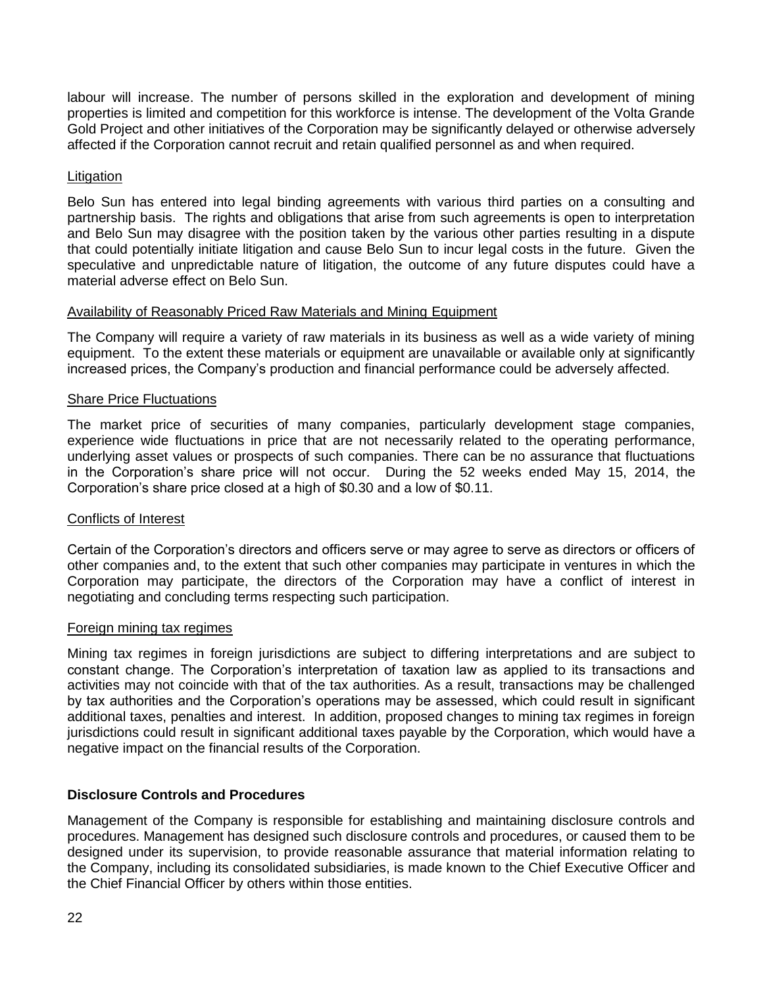labour will increase. The number of persons skilled in the exploration and development of mining properties is limited and competition for this workforce is intense. The development of the Volta Grande Gold Project and other initiatives of the Corporation may be significantly delayed or otherwise adversely affected if the Corporation cannot recruit and retain qualified personnel as and when required.

## Litigation

Belo Sun has entered into legal binding agreements with various third parties on a consulting and partnership basis. The rights and obligations that arise from such agreements is open to interpretation and Belo Sun may disagree with the position taken by the various other parties resulting in a dispute that could potentially initiate litigation and cause Belo Sun to incur legal costs in the future. Given the speculative and unpredictable nature of litigation, the outcome of any future disputes could have a material adverse effect on Belo Sun.

## Availability of Reasonably Priced Raw Materials and Mining Equipment

The Company will require a variety of raw materials in its business as well as a wide variety of mining equipment. To the extent these materials or equipment are unavailable or available only at significantly increased prices, the Company's production and financial performance could be adversely affected.

## Share Price Fluctuations

The market price of securities of many companies, particularly development stage companies, experience wide fluctuations in price that are not necessarily related to the operating performance, underlying asset values or prospects of such companies. There can be no assurance that fluctuations in the Corporation's share price will not occur. During the 52 weeks ended May 15, 2014, the Corporation's share price closed at a high of \$0.30 and a low of \$0.11.

## Conflicts of Interest

Certain of the Corporation's directors and officers serve or may agree to serve as directors or officers of other companies and, to the extent that such other companies may participate in ventures in which the Corporation may participate, the directors of the Corporation may have a conflict of interest in negotiating and concluding terms respecting such participation.

## Foreign mining tax regimes

Mining tax regimes in foreign jurisdictions are subject to differing interpretations and are subject to constant change. The Corporation's interpretation of taxation law as applied to its transactions and activities may not coincide with that of the tax authorities. As a result, transactions may be challenged by tax authorities and the Corporation's operations may be assessed, which could result in significant additional taxes, penalties and interest. In addition, proposed changes to mining tax regimes in foreign jurisdictions could result in significant additional taxes payable by the Corporation, which would have a negative impact on the financial results of the Corporation.

## **Disclosure Controls and Procedures**

Management of the Company is responsible for establishing and maintaining disclosure controls and procedures. Management has designed such disclosure controls and procedures, or caused them to be designed under its supervision, to provide reasonable assurance that material information relating to the Company, including its consolidated subsidiaries, is made known to the Chief Executive Officer and the Chief Financial Officer by others within those entities.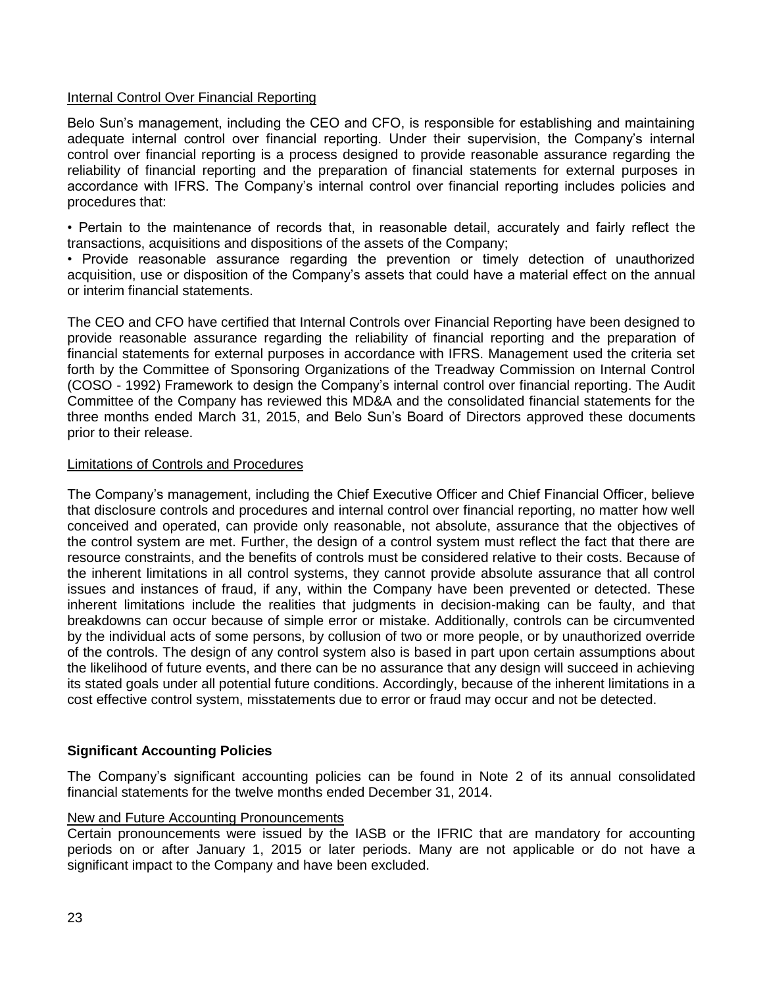## Internal Control Over Financial Reporting

Belo Sun's management, including the CEO and CFO, is responsible for establishing and maintaining adequate internal control over financial reporting. Under their supervision, the Company's internal control over financial reporting is a process designed to provide reasonable assurance regarding the reliability of financial reporting and the preparation of financial statements for external purposes in accordance with IFRS. The Company's internal control over financial reporting includes policies and procedures that:

• Pertain to the maintenance of records that, in reasonable detail, accurately and fairly reflect the transactions, acquisitions and dispositions of the assets of the Company;

• Provide reasonable assurance regarding the prevention or timely detection of unauthorized acquisition, use or disposition of the Company's assets that could have a material effect on the annual or interim financial statements.

The CEO and CFO have certified that Internal Controls over Financial Reporting have been designed to provide reasonable assurance regarding the reliability of financial reporting and the preparation of financial statements for external purposes in accordance with IFRS. Management used the criteria set forth by the Committee of Sponsoring Organizations of the Treadway Commission on Internal Control (COSO - 1992) Framework to design the Company's internal control over financial reporting. The Audit Committee of the Company has reviewed this MD&A and the consolidated financial statements for the three months ended March 31, 2015, and Belo Sun's Board of Directors approved these documents prior to their release.

#### Limitations of Controls and Procedures

The Company's management, including the Chief Executive Officer and Chief Financial Officer, believe that disclosure controls and procedures and internal control over financial reporting, no matter how well conceived and operated, can provide only reasonable, not absolute, assurance that the objectives of the control system are met. Further, the design of a control system must reflect the fact that there are resource constraints, and the benefits of controls must be considered relative to their costs. Because of the inherent limitations in all control systems, they cannot provide absolute assurance that all control issues and instances of fraud, if any, within the Company have been prevented or detected. These inherent limitations include the realities that judgments in decision-making can be faulty, and that breakdowns can occur because of simple error or mistake. Additionally, controls can be circumvented by the individual acts of some persons, by collusion of two or more people, or by unauthorized override of the controls. The design of any control system also is based in part upon certain assumptions about the likelihood of future events, and there can be no assurance that any design will succeed in achieving its stated goals under all potential future conditions. Accordingly, because of the inherent limitations in a cost effective control system, misstatements due to error or fraud may occur and not be detected.

## **Significant Accounting Policies**

The Company's significant accounting policies can be found in Note 2 of its annual consolidated financial statements for the twelve months ended December 31, 2014.

## New and Future Accounting Pronouncements

Certain pronouncements were issued by the IASB or the IFRIC that are mandatory for accounting periods on or after January 1, 2015 or later periods. Many are not applicable or do not have a significant impact to the Company and have been excluded.